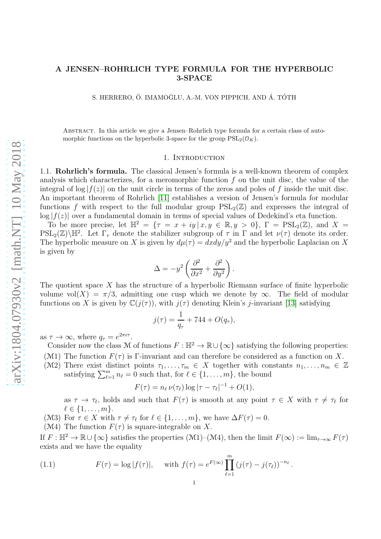# A JENSEN–ROHRLICH TYPE FORMULA FOR THE HYPERBOLIC 3-SPACE

S. HERRERO, Ö. IMAMOĞLU, A.-M. VON PIPPICH, AND Á. TÓTH

Abstract. In this article we give a Jensen–Rohrlich type formula for a certain class of automorphic functions on the hyperbolic 3-space for the group  $PSL_2(\mathcal{O}_K)$ .

#### 1. INTRODUCTION

1.1. Rohrlich's formula. The classical Jensen's formula is a well-known theorem of complex analysis which characterizes, for a meromorphic function  $f$  on the unit disc, the value of the integral of  $log|f(z)|$  on the unit circle in terms of the zeros and poles of f inside the unit disc. An important theorem of Rohrlich [\[11\]](#page-22-0) establishes a version of Jensen's formula for modular functions f with respect to the full modular group  $PSL_2(\mathbb{Z})$  and expresses the integral of  $\log|f(z)|$  over a fundamental domain in terms of special values of Dedekind's eta function.

To be more precise, let  $\mathbb{H}^2 = \{ \tau = x + iy \mid x, y \in \mathbb{R}, y > 0 \}, \Gamma = \text{PSL}_2(\mathbb{Z})$ , and  $X =$  $PSL_2(\mathbb{Z})\backslash\mathbb{H}^2$ . Let  $\Gamma_{\tau}$  denote the stabilizer subgroup of  $\tau$  in  $\Gamma$  and let  $\nu(\tau)$  denote its order. The hyperbolic measure on X is given by  $d\mu(\tau) = dxdy/y^2$  and the hyperbolic Laplacian on X is given by

$$
\Delta = -y^2 \left( \frac{\partial^2}{\partial x^2} + \frac{\partial^2}{\partial y^2} \right).
$$

The quotient space  $X$  has the structure of a hyperbolic Riemann surface of finite hyperbolic volume vol(X) =  $\pi/3$ , admitting one cusp which we denote by  $\infty$ . The field of modular functions on X is given by  $\mathbb{C}(i(\tau))$ , with  $i(\tau)$  denoting Klein's *j*-invariant [\[13\]](#page-22-1) satisfying

$$
j(\tau) = \frac{1}{q_{\tau}} + 744 + O(q_{\tau}),
$$

as  $\tau \to \infty$ , where  $q_{\tau} = e^{2\pi i \tau}$ .

Consider now the class M of functions  $F : \mathbb{H}^2 \to \mathbb{R} \cup {\infty}$  satisfying the following properties:

(M1) The function  $F(\tau)$  is Γ-invariant and can therefore be considered as a function on X.

(M2) There exist distinct points  $\tau_1, \ldots, \tau_m \in X$  together with constants  $n_1, \ldots, n_m \in \mathbb{Z}$ satisfying  $\sum_{\ell=1}^m n_\ell = 0$  such that, for  $\ell \in \{1, \ldots, m\}$ , the bound

$$
F(\tau) = n_{\ell} \nu(\tau_{\ell}) \log |\tau - \tau_{\ell}|^{-1} + O(1),
$$

as  $\tau \to \tau_{\ell}$ , holds and such that  $F(\tau)$  is smooth at any point  $\tau \in X$  with  $\tau \neq \tau_{\ell}$  for  $\ell \in \{1,\ldots,m\}.$ 

(M3) For  $\tau \in X$  with  $\tau \neq \tau_{\ell}$  for  $\ell \in \{1, \ldots, m\}$ , we have  $\Delta F(\tau) = 0$ .

(M4) The function  $F(\tau)$  is square-integrable on X.

If  $F : \mathbb{H}^2 \to \mathbb{R} \cup {\infty}$  satisfies the properties  $(M1)–(M4)$ , then the limit  $F(\infty) := \lim_{\tau \to \infty} F(\tau)$ exists and we have the equality

<span id="page-0-0"></span>(1.1) 
$$
F(\tau) = \log |f(\tau)|, \quad \text{with } f(\tau) = e^{F(\infty)} \prod_{\ell=1}^{m} (j(\tau) - j(\tau_{\ell}))^{-n_{\ell}}.
$$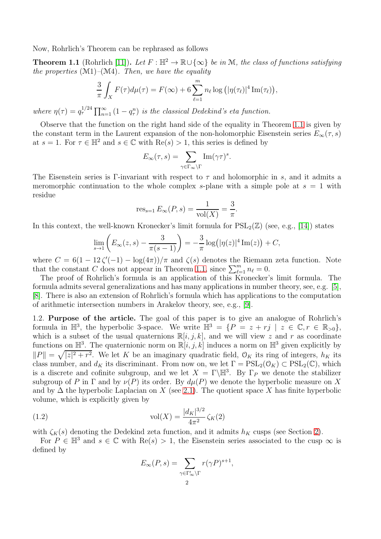Now, Rohrlich's Theorem can be rephrased as follows

<span id="page-1-0"></span>**Theorem 1.1** (Rohrlich [\[11\]](#page-22-0)). Let  $F : \mathbb{H}^2 \to \mathbb{R} \cup \{\infty\}$  be in M, the class of functions satisfying the properties  $(M1)$ – $(M4)$ . Then, we have the equality

$$
\frac{3}{\pi} \int_X F(\tau) d\mu(\tau) = F(\infty) + 6 \sum_{\ell=1}^m n_\ell \log \left( |\eta(\tau_\ell)|^4 \operatorname{Im}(\tau_\ell) \right),
$$

where  $\eta(\tau) = q_{\tau}^{1/24} \prod_{n=1}^{\infty} (1 - q_{\tau}^n)$  is the classical Dedekind's eta function.

Observe that the function on the right hand side of the equality in Theorem [1.1](#page-1-0) is given by the constant term in the Laurent expansion of the non-holomorphic Eisenstein series  $E_{\infty}(\tau, s)$ at  $s = 1$ . For  $\tau \in \mathbb{H}^2$  and  $s \in \mathbb{C}$  with  $\text{Re}(s) > 1$ , this series is defined by

$$
E_{\infty}(\tau,s) = \sum_{\gamma \in \Gamma_{\infty} \backslash \Gamma} \mathrm{Im}(\gamma \tau)^s.
$$

The Eisenstein series is Γ-invariant with respect to  $\tau$  and holomorphic in s, and it admits a meromorphic continuation to the whole complex s-plane with a simple pole at  $s = 1$  with residue

res<sub>s=1</sub> 
$$
E_{\infty}(P, s) = \frac{1}{\text{vol}(X)} = \frac{3}{\pi}.
$$

In this context, the well-known Kronecker's limit formula for  $PSL_2(\mathbb{Z})$  (see, e.g., [\[14\]](#page-22-2)) states

$$
\lim_{s \to 1} \left( E_{\infty}(z, s) - \frac{3}{\pi(s - 1)} \right) = -\frac{3}{\pi} \log(|\eta(z)|^4 \operatorname{Im}(z)) + C,
$$

where  $C = 6(1 - 12\zeta'(-1) - \log(4\pi))/\pi$  and  $\zeta(s)$  denotes the Riemann zeta function. Note that the constant C does not appear in Theorem [1.1,](#page-1-0) since  $\sum_{\ell=1}^{m} n_{\ell} = 0$ .

The proof of Rohrlich's formula is an application of this Kronecker's limit formula. The formula admits several generalizations and has many applications in number theory, see, e.g. [\[5\]](#page-22-3), [\[8\]](#page-22-4). There is also an extension of Rohrlich's formula which has applications to the computation of arithmetic intersection numbers in Arakelov theory, see, e.g., [\[9\]](#page-22-5).

1.2. Purpose of the article. The goal of this paper is to give an analogue of Rohrlich's formula in  $\mathbb{H}^3$ , the hyperbolic 3-space. We write  $\mathbb{H}^3 = \{P = z + rj \mid z \in \mathbb{C}, r \in \mathbb{R}_{>0}\},\$ which is a subset of the usual quaternions  $\mathbb{R}[i, j, k]$ , and we will view z and r as coordinate functions on  $\mathbb{H}^3$ . The quaternionic norm on  $\mathbb{R}[i, j, k]$  induces a norm on  $\mathbb{H}^3$  given explicitly by  $||P|| = \sqrt{|z|^2 + r^2}$ . We let K be an imaginary quadratic field,  $\mathcal{O}_K$  its ring of integers,  $h_K$  its class number, and  $d_K$  its discriminant. From now on, we let  $\Gamma = \mathrm{PSL}_2(\mathcal{O}_K) \subset \mathrm{PSL}_2(\mathbb{C})$ , which is a discrete and cofinite subgroup, and we let  $X = \Gamma \backslash \mathbb{H}^3$ . By  $\Gamma_P$  we denote the stabilizer subgroup of P in  $\Gamma$  and by  $\nu(P)$  its order. By  $d\mu(P)$  we denote the hyperbolic measure on X and by  $\Delta$  the hyperbolic Laplacian on X (see [2.1\)](#page-3-0). The quotient space X has finite hyperbolic volume, which is explicitly given by

(1.2) 
$$
\text{vol}(X) = \frac{|d_K|^{3/2}}{4\pi^2} \zeta_K(2)
$$

with  $\zeta_K(s)$  denoting the Dedekind zeta function, and it admits  $h_K$  cusps (see Section [2\)](#page-3-1).

For  $P \in \mathbb{H}^3$  and  $s \in \mathbb{C}$  with  $\text{Re}(s) > 1$ , the Eisenstein series associated to the cusp  $\infty$  is defined by

<span id="page-1-1"></span>
$$
E_{\infty}(P,s) = \sum_{\gamma \in \Gamma_{\infty}' \backslash \Gamma} r(\gamma P)^{s+1},
$$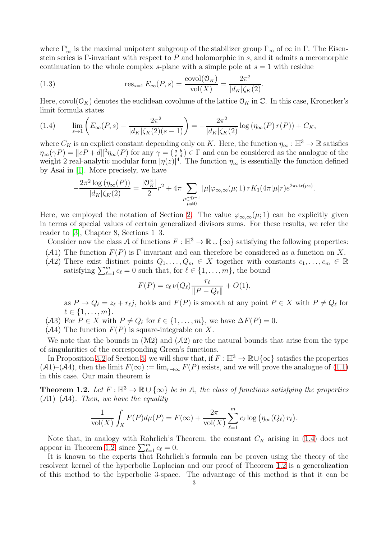where  $\Gamma'_{\infty}$  is the maximal unipotent subgroup of the stabilizer group  $\Gamma_{\infty}$  of  $\infty$  in  $\Gamma$ . The Eisenstein series is Γ-invariant with respect to  $P$  and holomorphic in  $s$ , and it admits a meromorphic continuation to the whole complex s-plane with a simple pole at  $s = 1$  with residue

<span id="page-2-2"></span>(1.3) 
$$
\text{res}_{s=1} E_{\infty}(P, s) = \frac{\text{covol}(\mathcal{O}_K)}{\text{vol}(X)} = \frac{2\pi^2}{|d_K|\zeta_K(2)}.
$$

Here, covol $(\mathcal{O}_K)$  denotes the euclidean covolume of the lattice  $\mathcal{O}_K$  in  $\mathbb{C}$ . In this case, Kronecker's limit formula states

<span id="page-2-0"></span>(1.4) 
$$
\lim_{s \to 1} \left( E_{\infty}(P, s) - \frac{2\pi^2}{|d_K|\zeta_K(2)(s-1)} \right) = -\frac{2\pi^2}{|d_K|\zeta_K(2)} \log \left( \eta_{\infty}(P) r(P) \right) + C_K,
$$

where  $C_K$  is an explicit constant depending only on K. Here, the function  $\eta_\infty : \mathbb{H}^3 \to \mathbb{R}$  satisfies  $\eta_{\infty}(\gamma P) = ||cP + d||^2 \eta_{\infty}(P)$  for any  $\gamma = \begin{pmatrix} a & b \\ c & d \end{pmatrix} \in \Gamma$  and can be considered as the analogue of the weight 2 real-analytic modular form  $|\eta(z)|^4$ . The function  $\eta_{\infty}$  is essentially the function defined by Asai in [\[1\]](#page-22-6). More precisely, we have

$$
-\frac{2\pi^2 \log \left(\eta_{\infty}(P)\right)}{|d_K|\zeta_K(2)} = \frac{|\mathcal{O}_K^{\times}|}{2} r^2 + 4\pi \sum_{\substack{\mu \in \mathcal{D}^{-1} \\ \mu \neq 0}} |\mu| \varphi_{\infty,\infty}(\mu; 1) r K_1(4\pi|\mu| r) e^{2\pi i \operatorname{tr}(\mu z)}.
$$

Here, we employed the notation of Section [2.](#page-3-1) The value  $\varphi_{\infty,\infty}(\mu;1)$  can be explicitly given in terms of special values of certain generalized divisors sums. For these results, we refer the reader to [\[3\]](#page-22-7), Chapter 8, Sections 1–3.

Consider now the class A of functions  $F : \mathbb{H}^3 \to \mathbb{R} \cup {\infty}$  satisfying the following properties:

- (A1) The function  $F(P)$  is Γ-invariant and can therefore be considered as a function on X.
- (A2) There exist distinct points  $Q_1, \ldots, Q_m \in X$  together with constants  $c_1, \ldots, c_m \in \mathbb{R}$ satisfying  $\sum_{\ell=1}^m c_\ell = 0$  such that, for  $\ell \in \{1, \ldots, m\}$ , the bound

$$
F(P) = c_{\ell} \nu(Q_{\ell}) \frac{r_{\ell}}{\|P - Q_{\ell}\|} + O(1),
$$

as  $P \to Q_{\ell} = z_{\ell} + r_{\ell}j$ , holds and  $F(P)$  is smooth at any point  $P \in X$  with  $P \neq Q_{\ell}$  for  $\ell \in \{1, \ldots, m\}.$ 

- (A3) For  $P \in X$  with  $P \neq Q_{\ell}$  for  $\ell \in \{1, ..., m\}$ , we have  $\Delta F(P) = 0$ .
- $(A4)$  The function  $F(P)$  is square-integrable on X.

We note that the bounds in  $(M2)$  and  $(A2)$  are the natural bounds that arise from the type of singularities of the corresponding Green's functions.

In Proposition [5.2](#page-14-0) of Section [5,](#page-13-0) we will show that, if  $F : \mathbb{H}^3 \to \mathbb{R} \cup {\infty}$  satisfies the properties  $(A1)$ – $(A4)$ , then the limit  $F(\infty) := \lim_{r\to\infty} F(P)$  exists, and we will prove the analogue of  $(1.1)$ in this case. Our main theorem is

<span id="page-2-1"></span>**Theorem 1.2.** Let  $F : \mathbb{H}^3 \to \mathbb{R} \cup {\infty}$  be in A, the class of functions satisfying the properties  $(A1)$ – $(A4)$ . Then, we have the equality

$$
\frac{1}{\text{vol}(X)} \int_X F(P) d\mu(P) = F(\infty) + \frac{2\pi}{\text{vol}(X)} \sum_{\ell=1}^m c_\ell \log \left( \eta_\infty(Q_\ell) r_\ell \right).
$$

Note that, in analogy with Rohrlich's Theorem, the constant  $C_K$  arising in [\(1.4\)](#page-2-0) does not appear in Theorem [1.2,](#page-2-1) since  $\sum_{\ell=1}^{m} c_{\ell} = 0$ .

It is known to the experts that Rohrlich's formula can be proven using the theory of the resolvent kernel of the hyperbolic Laplacian and our proof of Theorem [1.2](#page-2-1) is a generalization of this method to the hyperbolic 3-space. The advantage of this method is that it can be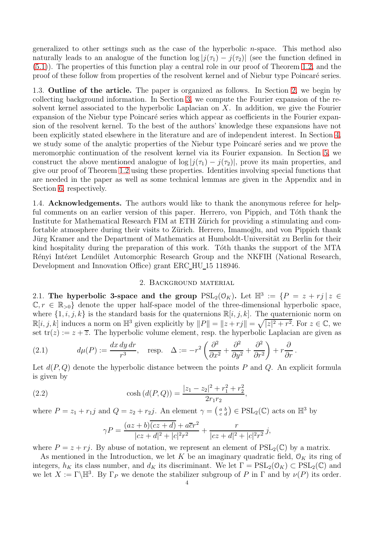generalized to other settings such as the case of the hyperbolic  $n$ -space. This method also naturally leads to an analogue of the function  $\log |j(\tau_1) - j(\tau_2)|$  (see the function defined in [\(5.1\)](#page-13-1)). The properties of this function play a central role in our proof of Theorem [1.2,](#page-2-1) and the proof of these follow from properties of the resolvent kernel and of Niebur type Poincar´e series.

1.3. Outline of the article. The paper is organized as follows. In Section [2,](#page-3-1) we begin by collecting background information. In Section [3,](#page-6-0) we compute the Fourier expansion of the resolvent kernel associated to the hyperbolic Laplacian on  $X$ . In addition, we give the Fourier expansion of the Niebur type Poincaré series which appear as coefficients in the Fourier expansion of the resolvent kernel. To the best of the authors' knowledge these expansions have not been explicitly stated elsewhere in the literature and are of independent interest. In Section [4,](#page-10-0) we study some of the analytic properties of the Niebur type Poincaré series and we prove the meromorphic continuation of the resolvent kernel via its Fourier expansion. In Section [5,](#page-13-0) we construct the above mentioned analogue of  $\log |j(\tau_1) - j(\tau_2)|$ , prove its main properties, and give our proof of Theorem [1.2](#page-2-1) using these properties. Identities involving special functions that are needed in the paper as well as some technical lemmas are given in the Appendix and in Section [6,](#page-16-0) respectively.

1.4. **Acknowledgements.** The authors would like to thank the anonymous referee for helpful comments on an earlier version of this paper. Herrero, von Pippich, and Tóth thank the Institute for Mathematical Research FIM at ETH Zürich for providing a stimulating and comfortable atmosphere during their visits to Zürich. Herrero, Imamoglu, and von Pippich thank Jürg Kramer and the Department of Mathematics at Humboldt-Universität zu Berlin for their kind hospitality during the preparation of this work. Tóth thanks the support of the MTA Rényi Intézet Lendület Automorphic Research Group and the NKFIH (National Research, Development and Innovation Office) grant ERC HU 15 118946.

#### 2. Background material

<span id="page-3-1"></span>2.1. The hyperbolic 3-space and the group  $PSL_2(\mathcal{O}_K)$ . Let  $\mathbb{H}^3 := \{P = z + rj \mid z \in \mathbb{R}^3\}$  $\mathbb{C}, r \in \mathbb{R}_{>0}$  denote the upper half-space model of the three-dimensional hyperbolic space, where  $\{1, i, j, k\}$  is the standard basis for the quaternions  $\mathbb{R}[i, j, k]$ . The quaternionic norm on  $\mathbb{R}[i, j, k]$  induces a norm on  $\mathbb{H}^3$  given explicitly by  $||P|| = ||z + rj|| = \sqrt{|z|^2 + r^2}$ . For  $z \in \mathbb{C}$ , we set  $tr(z) := z + \overline{z}$ . The hyperbolic volume element, resp. the hyperbolic Laplacian are given as

<span id="page-3-0"></span>(2.1) 
$$
d\mu(P) := \frac{dx \, dy \, dr}{r^3}, \quad \text{resp.} \quad \Delta := -r^2 \left( \frac{\partial^2}{\partial x^2} + \frac{\partial^2}{\partial y^2} + \frac{\partial^2}{\partial r^2} \right) + r \frac{\partial}{\partial r}.
$$

Let  $d(P,Q)$  denote the hyperbolic distance between the points P and Q. An explicit formula is given by

<span id="page-3-2"></span>(2.2) 
$$
\cosh(d(P,Q)) = \frac{|z_1 - z_2|^2 + r_1^2 + r_2^2}{2r_1r_2},
$$

where  $P = z_1 + r_1 j$  and  $Q = z_2 + r_2 j$ . An element  $\gamma = \begin{pmatrix} a & b \\ c & d \end{pmatrix} \in \text{PSL}_2(\mathbb{C})$  acts on  $\mathbb{H}^3$  by

$$
\gamma P = \frac{(az+b)\overline{(cz+d)} + a\overline{c}r^2}{|cz+d|^2 + |c|^2r^2} + \frac{r}{|cz+d|^2 + |c|^2r^2}j,
$$

where  $P = z + rj$ . By abuse of notation, we represent an element of  $PSL_2(\mathbb{C})$  by a matrix.

As mentioned in the Introduction, we let K be an imaginary quadratic field,  $\mathcal{O}_K$  its ring of integers,  $h_K$  its class number, and  $d_K$  its discriminant. We let  $\Gamma = \text{PSL}_2(\mathcal{O}_K) \subset \text{PSL}_2(\mathbb{C})$  and we let  $X := \Gamma \backslash \mathbb{H}^3$ . By  $\Gamma_P$  we denote the stabilizer subgroup of P in  $\Gamma$  and by  $\nu(P)$  its order.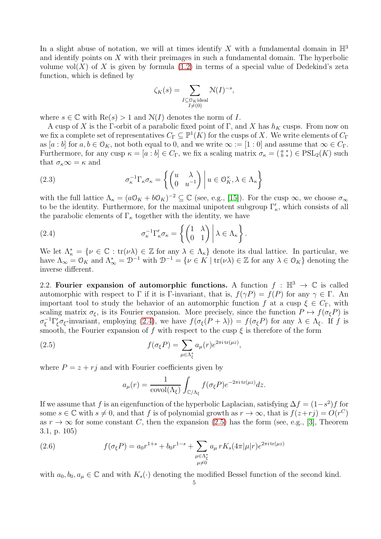In a slight abuse of notation, we will at times identify X with a fundamental domain in  $\mathbb{H}^3$ and identify points on X with their preimages in such a fundamental domain. The hyperbolic volume vol $(X)$  of X is given by formula [\(1.2\)](#page-1-1) in terms of a special value of Dedekind's zeta function, which is defined by

$$
\zeta_K(s) = \sum_{\substack{I \subseteq \mathbb{O}_K:\text{ideal} \\ I \neq (0)}} \mathcal{N}(I)^{-s},
$$

where  $s \in \mathbb{C}$  with  $\text{Re}(s) > 1$  and  $\mathcal{N}(I)$  denotes the norm of I.

A cusp of X is the Γ-orbit of a parabolic fixed point of Γ, and X has  $h<sub>K</sub>$  cusps. From now on we fix a complete set of representatives  $C_{\Gamma} \subseteq \mathbb{P}^1(K)$  for the cusps of X. We write elements of  $C_{\Gamma}$ as  $[a:b]$  for  $a, b \in \mathcal{O}_K$ , not both equal to 0, and we write  $\infty := [1:0]$  and assume that  $\infty \in C_{\Gamma}$ . Furthermore, for any cusp  $\kappa = [a:b] \in C_{\Gamma}$ , we fix a scaling matrix  $\sigma_{\kappa} = \begin{pmatrix} a & \ast \\ b & \ast \end{pmatrix} \in \text{PSL}_2(K)$  such that  $\sigma_{\kappa} \infty = \kappa$  and

<span id="page-4-3"></span>(2.3) 
$$
\sigma_{\kappa}^{-1} \Gamma_{\kappa} \sigma_{\kappa} = \left\{ \begin{pmatrix} u & \lambda \\ 0 & u^{-1} \end{pmatrix} \middle| u \in \mathcal{O}_{K}^{\times}, \lambda \in \Lambda_{\kappa} \right\}
$$

with the full lattice  $\Lambda_{\kappa} = (a\mathcal{O}_K + b\mathcal{O}_K)^{-2} \subseteq \mathbb{C}$  (see, e.g., [\[15\]](#page-22-8)). For the cusp  $\infty$ , we choose  $\sigma_{\infty}$ to be the identity. Furthermore, for the maximal unipotent subgroup  $\Gamma_{\kappa}'$ , which consists of all the parabolic elements of  $\Gamma_{\kappa}$  together with the identity, we have

<span id="page-4-0"></span>(2.4) 
$$
\sigma_{\kappa}^{-1} \Gamma_{\kappa}' \sigma_{\kappa} = \left\{ \begin{pmatrix} 1 & \lambda \\ 0 & 1 \end{pmatrix} \middle| \lambda \in \Lambda_{\kappa} \right\}.
$$

We let  $\Lambda_{\kappa}^* = \{ \nu \in \mathbb{C} : \text{tr}(\nu \lambda) \in \mathbb{Z} \text{ for any } \lambda \in \Lambda_{\kappa} \}$  denote its dual lattice. In particular, we have  $\Lambda_{\infty} = \mathcal{O}_K$  and  $\Lambda_{\infty}^* = \mathcal{D}^{-1}$  with  $\mathcal{D}^{-1} = \{ \nu \in K \mid \text{tr}(\nu \lambda) \in \mathbb{Z} \text{ for any } \lambda \in \mathcal{O}_K \}$  denoting the inverse different.

2.2. Fourier expansion of automorphic functions. A function  $f : \mathbb{H}^3 \to \mathbb{C}$  is called automorphic with respect to Γ if it is Γ-invariant, that is,  $f(\gamma P) = f(P)$  for any  $\gamma \in \Gamma$ . An important tool to study the behavior of an automorphic function f at a cusp  $\xi \in C_{\Gamma}$ , with scaling matrix  $\sigma_{\xi}$ , is its Fourier expansion. More precisely, since the function  $P \mapsto f(\sigma_{\xi}P)$  is  $\sigma_{\xi}^{-1}\Gamma_{\xi}'\sigma_{\xi}$ -invariant, employing [\(2.4\)](#page-4-0), we have  $f(\sigma_{\xi}(P+\lambda))=f(\sigma_{\xi}P)$  for any  $\lambda \in \Lambda_{\xi}$ . If f is smooth, the Fourier expansion of f with respect to the cusp  $\xi$  is therefore of the form

<span id="page-4-1"></span>(2.5) 
$$
f(\sigma_{\xi}P) = \sum_{\mu \in \Lambda_{\xi}^*} a_{\mu}(r)e^{2\pi i \operatorname{tr}(\mu z)},
$$

where  $P = z + rj$  and with Fourier coefficients given by

$$
a_{\mu}(r) = \frac{1}{\text{covol}(\Lambda_{\xi})} \int_{\mathbb{C}/\Lambda_{\xi}} f(\sigma_{\xi} P) e^{-2\pi i \operatorname{tr}(\mu z)} dz.
$$

If we assume that f is an eigenfunction of the hyperbolic Laplacian, satisfying  $\Delta f = (1-s^2)f$  for some  $s \in \mathbb{C}$  with  $s \neq 0$ , and that f is of polynomial growth as  $r \to \infty$ , that is  $f(z+rj) = O(r^C)$ as  $r \to \infty$  for some constant C, then the expansion [\(2.5\)](#page-4-1) has the form (see, e.g., [\[3\]](#page-22-7), Theorem 3.1, p. 105)

<span id="page-4-2"></span>(2.6) 
$$
f(\sigma_{\xi}P) = a_0 r^{1+s} + b_0 r^{1-s} + \sum_{\substack{\mu \in \Lambda_{\xi}^* \\ \mu \neq 0}} a_{\mu} r K_s (4\pi |\mu| r) e^{2\pi i \operatorname{tr}(\mu z)}
$$

with  $a_0, b_0, a_\mu \in \mathbb{C}$  and with  $K_s(\cdot)$  denoting the modified Bessel function of the second kind.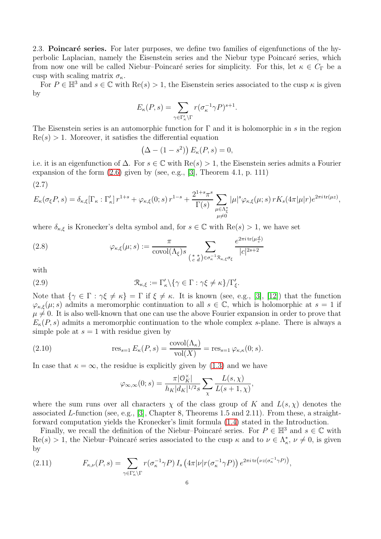2.3. Poincaré series. For later purposes, we define two families of eigenfunctions of the hyperbolic Laplacian, namely the Eisenstein series and the Niebur type Poincaré series, which from now one will be called Niebur–Poincaré series for simplicity. For this, let  $\kappa \in C_{\Gamma}$  be a cusp with scaling matrix  $\sigma_{\kappa}$ .

For  $P \in \mathbb{H}^3$  and  $s \in \mathbb{C}$  with  $\text{Re}(s) > 1$ , the Eisenstein series associated to the cusp  $\kappa$  is given by

$$
E_{\kappa}(P,s) = \sum_{\gamma \in \Gamma_{\kappa}' \backslash \Gamma} r(\sigma_{\kappa}^{-1} \gamma P)^{s+1}.
$$

The Eisenstein series is an automorphic function for  $\Gamma$  and it is holomorphic in s in the region  $Re(s) > 1$ . Moreover, it satisfies the differential equation

$$
(\Delta - (1 - s^2)) E_{\kappa}(P, s) = 0,
$$

i.e. it is an eigenfunction of  $\Delta$ . For  $s \in \mathbb{C}$  with  $\text{Re}(s) > 1$ , the Eisenstein series admits a Fourier expansion of the form  $(2.6)$  given by (see, e.g., [\[3\]](#page-22-7), Theorem 4.1, p. 111)

<span id="page-5-4"></span>
$$
(2.7)
$$

$$
E_{\kappa}(\sigma_{\xi}P,s) = \delta_{\kappa,\xi}[\Gamma_{\kappa} : \Gamma'_{\kappa}] r^{1+s} + \varphi_{\kappa,\xi}(0;s) r^{1-s} + \frac{2^{1+s}\pi^s}{\Gamma(s)} \sum_{\substack{\mu \in \Lambda_{\xi}^* \\ \mu \neq 0}} |\mu|^s \varphi_{\kappa,\xi}(\mu;s) r K_s(4\pi|\mu|r) e^{2\pi i \operatorname{tr}(\mu z)},
$$

where  $\delta_{\kappa,\xi}$  is Kronecker's delta symbol and, for  $s \in \mathbb{C}$  with  $\text{Re}(s) > 1$ , we have set

<span id="page-5-0"></span>(2.8) 
$$
\varphi_{\kappa,\xi}(\mu;s) := \frac{\pi}{\text{covol}(\Lambda_{\xi})s} \sum_{\begin{pmatrix} * & * \\ c & d \end{pmatrix} \in \sigma_{\kappa}^{-1} \mathfrak{R}_{\kappa,\xi} \sigma_{\xi}} \frac{e^{2\pi i \operatorname{tr}(\mu \frac{d}{c})}}{|c|^{2s+2}}
$$

with

<span id="page-5-1"></span>(2.9) 
$$
\mathcal{R}_{\kappa,\xi} := \Gamma_{\kappa}' \backslash \{ \gamma \in \Gamma : \gamma \xi \neq \kappa \} / \Gamma_{\xi}'.
$$

Note that  $\{\gamma \in \Gamma : \gamma \xi \neq \kappa\} = \Gamma$  if  $\xi \neq \kappa$ . It is known (see, e.g., [\[3\]](#page-22-7), [\[12\]](#page-22-9)) that the function  $\varphi_{\kappa,\xi}(\mu;s)$  admits a meromorphic continuation to all  $s \in \mathbb{C}$ , which is holomorphic at  $s = 1$  if  $\mu \neq 0$ . It is also well-known that one can use the above Fourier expansion in order to prove that  $E_{\kappa}(P, s)$  admits a meromorphic continuation to the whole complex s-plane. There is always a simple pole at  $s = 1$  with residue given by

(2.10) 
$$
\operatorname{res}_{s=1} E_{\kappa}(P, s) = \frac{\operatorname{covol}(\Lambda_{\kappa})}{\operatorname{vol}(X)} = \operatorname{res}_{s=1} \varphi_{\kappa, \kappa}(0; s).
$$

In case that  $\kappa = \infty$ , the residue is explicitly given by [\(1.3\)](#page-2-2) and we have

<span id="page-5-3"></span>
$$
\varphi_{\infty,\infty}(0;s) = \frac{\pi |\mathcal{O}_K^{\times}|}{h_K|d_K|^{1/2} s} \sum_{\chi} \frac{L(s,\chi)}{L(s+1,\chi)},
$$

where the sum runs over all characters  $\chi$  of the class group of K and  $L(s, \chi)$  denotes the associated L-function (see, e.g., [\[3\]](#page-22-7), Chapter 8, Theorems 1.5 and 2.11). From these, a straightforward computation yields the Kronecker's limit formula [\(1.4\)](#page-2-0) stated in the Introduction.

Finally, we recall the definition of the Niebur–Poincaré series. For  $P \in \mathbb{H}^3$  and  $s \in \mathbb{C}$  with  $\text{Re}(s) > 1$ , the Niebur–Poincaré series associated to the cusp  $\kappa$  and to  $\nu \in \Lambda_{\kappa}^*$ ,  $\nu \neq 0$ , is given by

<span id="page-5-2"></span>(2.11) 
$$
F_{\kappa,\nu}(P,s) = \sum_{\gamma \in \Gamma_{\kappa}' \backslash \Gamma} r(\sigma_{\kappa}^{-1} \gamma P) I_s \left(4\pi |\nu| r(\sigma_{\kappa}^{-1} \gamma P)\right) e^{2\pi i \operatorname{tr}(\nu z(\sigma_{\kappa}^{-1} \gamma P))},
$$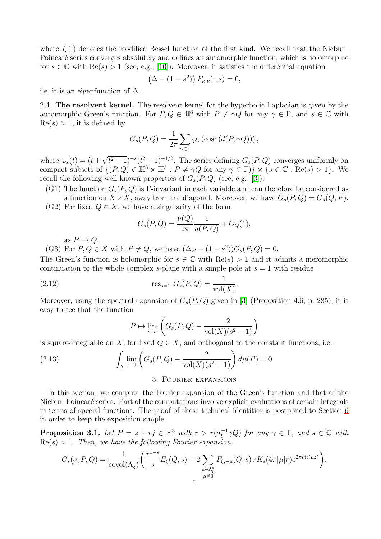where  $I_s(\cdot)$  denotes the modified Bessel function of the first kind. We recall that the Niebur– Poincaré series converges absolutely and defines an automorphic function, which is holomorphic for  $s \in \mathbb{C}$  with  $\text{Re}(s) > 1$  (see, e.g., [\[10\]](#page-22-10)). Moreover, it satisfies the differential equation

$$
(\Delta - (1 - s^2)) F_{\kappa,\nu}(\cdot, s) = 0,
$$

<span id="page-6-3"></span>i.e. it is an eigenfunction of  $\Delta$ .

2.4. The resolvent kernel. The resolvent kernel for the hyperbolic Laplacian is given by the automorphic Green's function. For  $P, Q \in \mathbb{H}^3$  with  $P \neq \gamma Q$  for any  $\gamma \in \Gamma$ , and  $s \in \mathbb{C}$  with  $Re(s) > 1$ , it is defined by

$$
G_s(P,Q) = \frac{1}{2\pi} \sum_{\gamma \in \Gamma} \varphi_s \left( \cosh(d(P, \gamma Q)) \right),
$$

where  $\varphi_s(t) = (t + \sqrt{t^2 - 1})^{-s} (t^2 - 1)^{-1/2}$ . The series defining  $G_s(P,Q)$  converges uniformly on compact subsets of  $\{(P,Q) \in \mathbb{H}^3 \times \mathbb{H}^3 : P \neq \gamma Q \text{ for any } \gamma \in \Gamma\} \times \{s \in \mathbb{C} : \text{Re}(s) > 1\}.$  We recall the following well-known properties of  $G_s(P,Q)$  (see, e.g., [\[3\]](#page-22-7)):

(G1) The function  $G_s(P,Q)$  is Γ-invariant in each variable and can therefore be considered as a function on  $X \times X$ , away from the diagonal. Moreover, we have  $G_s(P,Q) = G_s(Q,P)$ .

(G2) For fixed  $Q \in X$ , we have a singularity of the form

$$
G_s(P,Q) = \frac{\nu(Q)}{2\pi} \frac{1}{d(P,Q)} + O_Q(1),
$$

as  $P \to Q$ .

(G3) For  $P, Q \in X$  with  $P \neq Q$ , we have  $(\Delta_P - (1 - s^2))G_s(P, Q) = 0$ .

The Green's function is holomorphic for  $s \in \mathbb{C}$  with  $\text{Re}(s) > 1$  and it admits a meromorphic continuation to the whole complex s-plane with a simple pole at  $s = 1$  with residue

(2.12) 
$$
\text{res}_{s=1} \ G_s(P,Q) = \frac{1}{\text{vol}(X)}.
$$

Moreover, using the spectral expansion of  $G_s(P,Q)$  given in [\[3\]](#page-22-7) (Proposition 4.6, p. 285), it is easy to see that the function

<span id="page-6-4"></span><span id="page-6-2"></span>
$$
P \mapsto \lim_{s \to 1} \left( G_s(P, Q) - \frac{2}{\text{vol}(X)(s^2 - 1)} \right)
$$

is square-integrable on X, for fixed  $Q \in X$ , and orthogonal to the constant functions, i.e.

<span id="page-6-0"></span>(2.13) 
$$
\int_X \lim_{s \to 1} \left( G_s(P,Q) - \frac{2}{\text{vol}(X)(s^2 - 1)} \right) d\mu(P) = 0.
$$

#### 3. Fourier expansions

In this section, we compute the Fourier expansion of the Green's function and that of the Niebur–Poincaré series. Part of the computations involve explicit evaluations of certain integrals in terms of special functions. The proof of these technical identities is postponed to Section [6](#page-16-0) in order to keep the exposition simple.

<span id="page-6-1"></span>**Proposition 3.1.** Let  $P = z + rj \in \mathbb{H}^3$  with  $r > r(\sigma_{\xi}^{-1} \gamma Q)$  for any  $\gamma \in \Gamma$ , and  $s \in \mathbb{C}$  with  $Re(s) > 1$ . Then, we have the following Fourier expansion

$$
G_s(\sigma_{\xi}P,Q) = \frac{1}{\text{covol}(\Lambda_{\xi})} \bigg( \frac{r^{1-s}}{s} E_{\xi}(Q,s) + 2 \sum_{\substack{\mu \in \Lambda_{\xi}^* \\ \mu \neq 0}} F_{\xi,-\mu}(Q,s) r K_s(4\pi|\mu|r) e^{2\pi i \operatorname{tr}(\mu z)} \bigg).
$$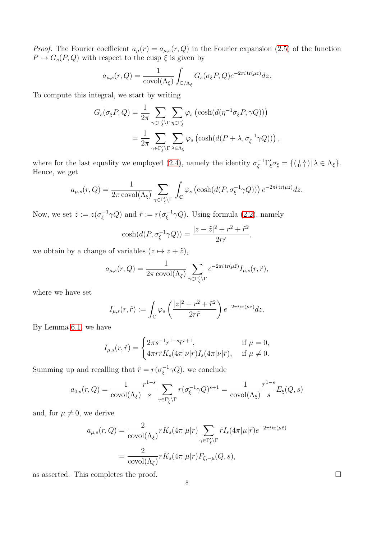*Proof.* The Fourier coefficient  $a_{\mu}(r) = a_{\mu,s}(r, Q)$  in the Fourier expansion [\(2.5\)](#page-4-1) of the function  $P \mapsto G_s(P, Q)$  with respect to the cusp  $\xi$  is given by

$$
a_{\mu,s}(r,Q) = \frac{1}{\text{covol}(\Lambda_{\xi})} \int_{\mathbb{C}/\Lambda_{\xi}} G_s(\sigma_{\xi} P,Q) e^{-2\pi i \operatorname{tr}(\mu z)} dz.
$$

To compute this integral, we start by writing

$$
G_s(\sigma_{\xi}P,Q) = \frac{1}{2\pi} \sum_{\gamma \in \Gamma_{\xi}^{\prime} \backslash \Gamma} \sum_{\eta \in \Gamma_{\xi}^{\prime}} \varphi_s \left( \cosh(d(\eta^{-1}\sigma_{\xi}P, \gamma Q)) \right)
$$
  
= 
$$
\frac{1}{2\pi} \sum_{\gamma \in \Gamma_{\xi}^{\prime} \backslash \Gamma} \sum_{\lambda \in \Lambda_{\xi}} \varphi_s \left( \cosh(d(P + \lambda, \sigma_{\xi}^{-1}\gamma Q)) \right),
$$

where for the last equality we employed [\(2.4\)](#page-4-0), namely the identity  $\sigma_{\xi}^{-1} \Gamma_{\xi}' \sigma_{\xi} = \{(\begin{smallmatrix} 1 & \lambda \\ 0 & 1 \end{smallmatrix}) | \lambda \in \Lambda_{\xi}\}.$ Hence, we get

$$
a_{\mu,s}(r,Q) = \frac{1}{2\pi \operatorname{covol}(\Lambda_{\xi})} \sum_{\gamma \in \Gamma_{\xi}^{\prime} \backslash \Gamma} \int_{\mathbb{C}} \varphi_s \left( \cosh(d(P, \sigma_{\xi}^{-1} \gamma Q)) \right) e^{-2\pi i \operatorname{tr}(\mu z)} dz.
$$

Now, we set  $\tilde{z} := z(\sigma_{\xi}^{-1} \gamma Q)$  and  $\tilde{r} := r(\sigma_{\xi}^{-1} \gamma Q)$ . Using formula [\(2.2\)](#page-3-2), namely

$$
\cosh(d(P, \sigma_{\xi}^{-1} \gamma Q)) = \frac{|z - \tilde{z}|^2 + r^2 + \tilde{r}^2}{2r\tilde{r}},
$$

we obtain by a change of variables  $(z \mapsto z + \tilde{z}),$ 

$$
a_{\mu,s}(r,Q) = \frac{1}{2\pi \operatorname{covol}(\Lambda_{\xi})} \sum_{\gamma \in \Gamma'_{\xi} \backslash \Gamma} e^{-2\pi i \operatorname{tr}(\mu \tilde{z})} I_{\mu,s}(r,\tilde{r}),
$$

where we have set

$$
I_{\mu,s}(r,\tilde{r}) := \int_{\mathbb{C}} \varphi_s \left( \frac{|z|^2 + r^2 + \tilde{r}^2}{2r\tilde{r}} \right) e^{-2\pi i \operatorname{tr}(\mu z)} dz.
$$

By Lemma [6.1,](#page-16-1) we have

$$
I_{\mu,s}(r,\tilde{r}) = \begin{cases} 2\pi s^{-1}r^{1-s}\tilde{r}^{s+1}, & \text{if } \mu = 0, \\ 4\pi r\tilde{r}K_s(4\pi|\nu|r)I_s(4\pi|\nu|\tilde{r}), & \text{if } \mu \neq 0. \end{cases}
$$

Summing up and recalling that  $\tilde{r} = r(\sigma_{\xi}^{-1}\gamma Q)$ , we conclude

$$
a_{0,s}(r,Q) = \frac{1}{\text{covol}(\Lambda_{\xi})} \frac{r^{1-s}}{s} \sum_{\gamma \in \Gamma_{\xi}^{\prime} \backslash \Gamma} r(\sigma_{\xi}^{-1} \gamma Q)^{s+1} = \frac{1}{\text{covol}(\Lambda_{\xi})} \frac{r^{1-s}}{s} E_{\xi}(Q,s)
$$

and, for  $\mu \neq 0$ , we derive

$$
a_{\mu,s}(r,Q) = \frac{2}{\text{covol}(\Lambda_{\xi})} r K_s(4\pi|\mu|r) \sum_{\gamma \in \Gamma_{\xi}^{\prime} \backslash \Gamma} \tilde{r} I_s(4\pi|\mu|\tilde{r}) e^{-2\pi i \operatorname{tr}(\mu \tilde{z})}
$$

$$
= \frac{2}{\text{covol}(\Lambda_{\xi})} r K_s(4\pi|\mu|r) F_{\xi,-\mu}(Q,s),
$$

as asserted. This completes the proof.  $\Box$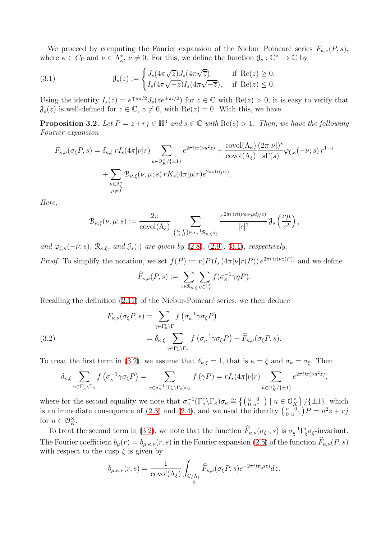We proceed by computing the Fourier expansion of the Niebur–Poincaré series  $F_{\kappa,\nu}(P, s)$ , where  $\kappa \in C_{\Gamma}$  and  $\nu \in \Lambda_{\kappa}^*$ ,  $\nu \neq 0$ . For this, we define the function  $\mathcal{J}_s : \mathbb{C}^{\times} \to \mathbb{C}$  by

<span id="page-8-0"></span>(3.1) 
$$
\mathcal{J}_s(z) := \begin{cases} J_s(4\pi\sqrt{z})J_s(4\pi\sqrt{\overline{z}}), & \text{if } \operatorname{Re}(z) \ge 0, \\ I_s(4\pi\sqrt{-z})I_s(4\pi\sqrt{-\overline{z}}), & \text{if } \operatorname{Re}(z) \le 0. \end{cases}
$$

Using the identity  $I_s(z) = e^{\mp s\pi/2} J_s(ze^{\pm \pi i/2})$  for  $z \in \mathbb{C}$  with  $\text{Re}(z) > 0$ , it is easy to verify that  $\mathcal{J}_s(z)$  is well-defined for  $z \in \mathbb{C}$ ,  $z \neq 0$ , with  $\text{Re}(z) = 0$ . With this, we have

<span id="page-8-2"></span>**Proposition 3.2.** Let  $P = z + rj \in \mathbb{H}^3$  and  $s \in \mathbb{C}$  with  $\text{Re}(s) > 1$ . Then, we have the following Fourier expansion

$$
F_{\kappa,\nu}(\sigma_{\xi}P,s) = \delta_{\kappa,\xi} r I_s(4\pi|\nu|r) \sum_{u \in \mathcal{O}_K^{\times}/\{\pm 1\}} e^{2\pi i \operatorname{tr}(\nu u^2 z)} + \frac{\operatorname{covol}(\Lambda_{\kappa})}{\operatorname{covol}(\Lambda_{\xi})} \frac{(2\pi|\nu|)^s}{s\Gamma(s)} \varphi_{\xi,\kappa}(-\nu;s) r^{1-s}
$$
  
+ 
$$
\sum_{\substack{\mu \in \Lambda_{\xi}^* \\ \mu \neq 0}} \mathcal{B}_{\kappa,\xi}(\nu,\mu;s) r K_s(4\pi|\mu|r) e^{2\pi i \operatorname{tr}(\mu z)}.
$$

Here,

$$
\mathcal{B}_{\kappa,\xi}(\nu,\mu;s):=\frac{2\pi}{\mathrm{covol}(\Lambda_\xi)}\sum_{\left(\begin{smallmatrix}a&*\\c&d\end{smallmatrix}\right)\in\sigma_\kappa^{-1}\mathfrak{R}_{\kappa,\xi}\sigma_\xi}\frac{e^{2\pi i\,\mathrm{tr}((\nu a+\mu d)/c)}}{|c|^2}\,\mathfrak{J}_s\left(\frac{\nu\mu}{c^2}\right),
$$

and  $\varphi_{\xi,\kappa}(-\nu;s)$ ,  $\mathcal{R}_{\kappa,\xi}$ , and  $\mathcal{J}_s(\cdot)$  are given by [\(2.8\)](#page-5-0), [\(2.9\)](#page-5-1), [\(3.1\)](#page-8-0), respectively.

*Proof.* To simplify the notation, we set  $f(P) := r(P)I_s(4\pi|\nu|r(P)) e^{2\pi i \operatorname{tr}(\nu z(P))}$  and we define

$$
\widehat{F}_{\kappa,\nu}(P,s) := \sum_{\gamma \in \mathcal{R}_{\kappa,\xi}} \sum_{\eta \in \Gamma_{\xi}'} f(\sigma_{\kappa}^{-1} \gamma \eta P).
$$

Recalling the definition  $(2.11)$  of the Niebur-Poincaré series, we then deduce

<span id="page-8-1"></span>(3.2)  
\n
$$
F_{\kappa,\nu}(\sigma_{\xi}P,s) = \sum_{\gamma \in \Gamma_{\kappa}' \backslash \Gamma} f(\sigma_{\kappa}^{-1} \gamma \sigma_{\xi}P)
$$
\n
$$
= \delta_{\kappa,\xi} \sum_{\gamma \in \Gamma_{\kappa}' \backslash \Gamma_{\kappa}} f(\sigma_{\kappa}^{-1} \gamma \sigma_{\xi}P) + \widehat{F}_{\kappa,\nu}(\sigma_{\xi}P,s).
$$

To treat the first term in [\(3.2\)](#page-8-1), we assume that  $\delta_{\kappa,\xi} = 1$ , that is  $\kappa = \xi$  and  $\sigma_{\kappa} = \sigma_{\xi}$ . Then

$$
\delta_{\kappa,\xi} \sum_{\gamma \in \Gamma'_{\kappa} \backslash \Gamma_{\kappa}} f\left(\sigma_{\kappa}^{-1} \gamma \sigma_{\xi} P\right) = \sum_{\gamma \in \sigma_{\kappa}^{-1}(\Gamma'_{\kappa} \backslash \Gamma_{\kappa}) \sigma_{\kappa}} f\left(\gamma P\right) = r I_s(4\pi |\nu|r) \sum_{u \in \mathcal{O}_{K}^{\times}/\{\pm 1\}} e^{2\pi i \operatorname{tr}(\nu u^2 z)},
$$

where for the second equality we note that  $\sigma_{\kappa}^{-1}(\Gamma_{\kappa}'\backslash\Gamma_{\kappa})\sigma_{\kappa} \cong \left\{ \left(\begin{smallmatrix}u&0\\0&u^{-1}\end{smallmatrix}\right) \mid u \in \mathcal{O}_{K}^{\times} \right\} / \left\{ \pm 1 \right\}$ , which is an immediate consequence of [\(2.3\)](#page-4-3) and [\(2.4\)](#page-4-0), and we used the identity  $\begin{pmatrix} u & 0 \\ 0 & u \end{pmatrix}$  $\binom{u}{0} \binom{0}{u^{-1}} P = u^2 z + r j$ for  $u \in \mathcal{O}_K^{\times}$ .

To treat the second term in [\(3.2\)](#page-8-1), we note that the function  $\widehat{F}_{\kappa,\nu}(\sigma_{\xi},s)$  is  $\sigma_{\xi}^{-1}\Gamma'_{\xi}\sigma_{\xi}$ -invariant. The Fourier coefficient  $b_\mu(r) = b_{\mu,\kappa,\nu}(r,s)$  in the Fourier expansion [\(2.5\)](#page-4-1) of the function  $\widehat{F}_{\kappa,\nu}(P,s)$ with respect to the cusp  $\xi$  is given by

$$
b_{\mu,\kappa,\nu}(r,s) = \frac{1}{\text{covol}(\Lambda_{\xi})} \int_{\substack{\mathbb{C}/\Lambda_{\xi} \\ 9}} \widehat{F}_{\kappa,\nu}(\sigma_{\xi} P, s) e^{-2\pi i \operatorname{tr}(\mu z)} dz.
$$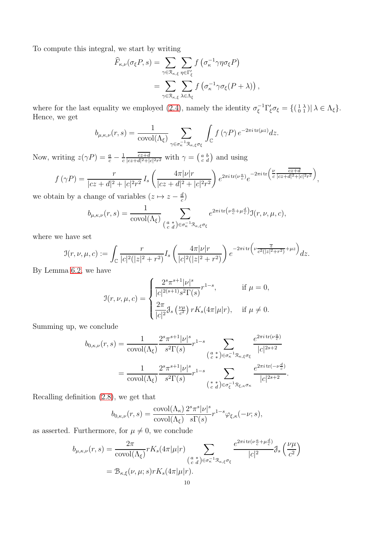To compute this integral, we start by writing

$$
\widehat{F}_{\kappa,\nu}(\sigma_{\xi}P,s) = \sum_{\gamma \in \mathcal{R}_{\kappa,\xi}} \sum_{\eta \in \Gamma_{\xi}'} f(\sigma_{\kappa}^{-1} \gamma \eta \sigma_{\xi}P)
$$

$$
= \sum_{\gamma \in \mathcal{R}_{\kappa,\xi}} \sum_{\lambda \in \Lambda_{\xi}} f(\sigma_{\kappa}^{-1} \gamma \sigma_{\xi}(P + \lambda)),
$$

where for the last equality we employed [\(2.4\)](#page-4-0), namely the identity  $\sigma_{\xi}^{-1} \Gamma_{\xi}' \sigma_{\xi} = \{(\begin{smallmatrix} 1 & \lambda \\ 0 & 1 \end{smallmatrix}) | \lambda \in \Lambda_{\xi}\}.$ Hence, we get

$$
b_{\mu,\kappa,\nu}(r,s) = \frac{1}{\text{covol}(\Lambda_{\xi})} \sum_{\gamma \in \sigma_{\kappa}^{-1} \mathcal{R}_{\kappa,\xi} \sigma_{\xi}} \int_{\mathbb{C}} f(\gamma P) e^{-2\pi i \operatorname{tr}(\mu z)} dz.
$$

Now, writing  $z(\gamma P) = \frac{a}{c} - \frac{1}{c}$ c  $c\overline{z}+d$  $\frac{\overline{cz+d}}{|cz+d|^2+|c|^2r^2}$  with  $\gamma = \left(\begin{smallmatrix} a & b \\ c & d \end{smallmatrix}\right)$  and using

$$
f(\gamma P) = \frac{r}{|cz+d|^2 + |c|^2 r^2} I_s \left( \frac{4\pi |\nu|r}{|cz+d|^2 + |c|^2 r^2} \right) e^{2\pi i \operatorname{tr}(\nu \frac{a}{c})} e^{-2\pi i \operatorname{tr}(\frac{\nu}{c} \frac{cz+d}{|cz+d|^2 + |c|^2 r^2})}
$$

,

we obtain by a change of variables  $(z \mapsto z - \frac{d}{c})$  $\frac{d}{c}$ 

$$
b_{\mu,\kappa,\nu}(r,s) = \frac{1}{\text{covol}(\Lambda_{\xi})} \sum_{\substack{a \ * \\ c \ d}} \sum_{\substack{\sigma \in \pi^1 \\ \sigma_{\kappa} \in \sigma_{\xi}}} e^{2\pi i \operatorname{tr}(\nu \frac{a}{c} + \mu \frac{d}{c})} \mathfrak{I}(r,\nu,\mu,c),
$$

where we have set

$$
\mathcal{I}(r,\nu,\mu,c) := \int_{\mathbb{C}} \frac{r}{|c|^2 (|z|^2 + r^2)} I_s \left( \frac{4\pi |\nu|r}{|c|^2 (|z|^2 + r^2)} \right) e^{-2\pi i \operatorname{tr} \left( \nu \frac{\overline{z}}{c^2 (|z|^2 + r^2)} + \mu z \right)} dz.
$$

By Lemma [6.2,](#page-17-0) we have

$$
\mathcal{I}(r,\nu,\mu,c) = \begin{cases} \frac{2^s \pi^{s+1} |\nu|^s}{|c|^{2(s+1)} s^2 \Gamma(s)} r^{1-s}, & \text{if } \mu = 0, \\ \frac{2\pi}{|c|^2} \mathcal{J}_s\left(\frac{\nu \mu}{c^2}\right) r K_s(4\pi |\mu|r), & \text{if } \mu \neq 0. \end{cases}
$$

Summing up, we conclude

$$
b_{0,\kappa,\nu}(r,s) = \frac{1}{\text{covol}(\Lambda_{\xi})} \frac{2^s \pi^{s+1} |\nu|^s}{s^2 \Gamma(s)} r^{1-s} \sum_{\substack{\left(\begin{smallmatrix} a & * \\ c & * \end{smallmatrix}\right) \in \sigma_{\kappa}^{-1} \mathcal{R}_{\kappa,\xi} \sigma_{\xi} \\ \left(\begin{smallmatrix} c & * \end{smallmatrix}\right) \in \sigma_{\kappa}^{-1} \mathcal{R}_{\kappa,\xi} \sigma_{\xi}}} \frac{e^{2\pi i \operatorname{tr}(\nu \frac{a}{c})}}{|c|^{2s+2}} \\ = \frac{1}{\text{covol}(\Lambda_{\xi})} \frac{2^s \pi^{s+1} |\nu|^s}{s^2 \Gamma(s)} r^{1-s} \sum_{\substack{\left(\begin{smallmatrix} * & * \\ c & d \end{smallmatrix}\right) \in \sigma_{\xi}^{-1} \mathcal{R}_{\xi,\kappa} \sigma_{\kappa}}} \frac{e^{2\pi i \operatorname{tr}(\nu \frac{d}{c})}}{|c|^{2s+2}}.
$$

Recalling definition [\(2.8\)](#page-5-0), we get that

$$
b_{0,\kappa,\nu}(r,s) = \frac{\text{covol}(\Lambda_{\kappa})}{\text{covol}(\Lambda_{\xi})} \frac{2^s \pi^s |\nu|^s}{s \Gamma(s)} r^{1-s} \varphi_{\xi,\kappa}(-\nu;s),
$$

as asserted. Furthermore, for  $\mu \neq 0$ , we conclude

$$
b_{\mu,\kappa,\nu}(r,s) = \frac{2\pi}{\text{covol}(\Lambda_{\xi})} r K_s(4\pi|\mu|r) \sum_{\substack{(\alpha^*) \in \sigma_{\kappa}^{-1} \mathcal{R}_{\kappa,\xi}\sigma_{\xi} \\ c d \text{ is odd}}} \frac{e^{2\pi i \text{ tr}(\nu\frac{a}{c} + \mu\frac{d}{c})}}{|c|^2} \mathcal{J}_s\left(\frac{\nu\mu}{c^2}\right)
$$
  
=  $\mathcal{B}_{\kappa,\xi}(\nu,\mu;s) r K_s(4\pi|\mu|r).$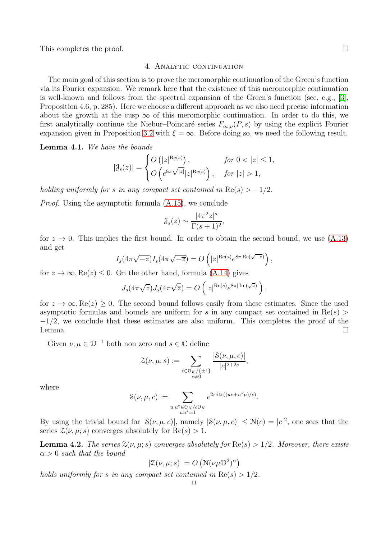<span id="page-10-0"></span>This completes the proof.  $\Box$ 

#### 4. ANALYTIC CONTINUATION

The main goal of this section is to prove the meromorphic continuation of the Green's function via its Fourier expansion. We remark here that the existence of this meromorphic continuation is well-known and follows from the spectral expansion of the Green's function (see, e.g., [\[3\]](#page-22-7), Proposition 4.6, p. 285). Here we choose a different approach as we also need precise information about the growth at the cusp  $\infty$  of this meromorphic continuation. In order to do this, we first analytically continue the Niebur–Poincaré series  $F_{\infty,\nu}(P, s)$  by using the explicit Fourier expansion given in Proposition [3.2](#page-8-2) with  $\xi = \infty$ . Before doing so, we need the following result.

<span id="page-10-1"></span>Lemma 4.1. We have the bounds

$$
|\mathcal{J}_s(z)| = \begin{cases} O\left(|z|^{\text{Re}(s)}\right), & \text{for } 0 < |z| \le 1, \\ O\left(e^{8\pi\sqrt{|z|}}|z|^{\text{Re}(s)}\right), & \text{for } |z| > 1, \end{cases}
$$

holding uniformly for s in any compact set contained in  $\text{Re}(s) > -1/2$ .

Proof. Using the asymptotic formula [\(A.15\)](#page-20-0), we conclude

$$
\mathcal{J}_s(z) \sim \frac{|4\pi^2 z|^s}{\Gamma(s+1)^2},
$$

for  $z \to 0$ . This implies the first bound. In order to obtain the second bound, we use  $(A.13)$ and get

$$
I_s(4\pi\sqrt{-z})I_s(4\pi\sqrt{-\overline{z}}) = O\left(|z|^{\text{Re}(s)}e^{8\pi \text{Re}(\sqrt{-z})}\right),
$$

for  $z \to \infty$ , Re( $z \geq 0$ . On the other hand, formula [\(A.14\)](#page-20-2) gives

$$
J_s(4\pi\sqrt{z})J_s(4\pi\sqrt{\overline{z}})=O\left(|z|^{\text{Re}(s)}e^{8\pi|\text{Im}(\sqrt{z})|}\right),\,
$$

for  $z \to \infty$ , Re( $z$ ) > 0. The second bound follows easily from these estimates. Since the used asymptotic formulas and bounds are uniform for s in any compact set contained in  $\text{Re}(s)$  $-1/2$ , we conclude that these estimates are also uniform. This completes the proof of the Lemma. Lemma.  $\Box$ 

Given  $\nu, \mu \in \mathcal{D}^{-1}$  both non zero and  $s \in \mathbb{C}$  define

$$
\mathcal{Z}(\nu,\mu;s) := \sum_{\substack{c \in \mathbb{O}_K/\{\pm 1\} \\ c \neq 0}} \frac{|\mathcal{S}(\nu,\mu,c)|}{|c|^{2+2s}},
$$

where

$$
\mathcal{S}(\nu,\mu,c) := \sum_{\substack{u,u^* \in \mathcal{O}_K/c\mathcal{O}_K \\ uu^* = 1}} e^{2\pi i \operatorname{tr}((u\nu + u^*\mu)/c)}.
$$

By using the trivial bound for  $|\mathcal{S}(\nu,\mu,c)|$ , namely  $|\mathcal{S}(\nu,\mu,c)| \leq \mathcal{N}(c) = |c|^2$ , one sees that the series  $\mathcal{Z}(\nu, \mu; s)$  converges absolutely for  $\text{Re}(s) > 1$ .

<span id="page-10-2"></span>**Lemma 4.2.** The series  $\mathcal{Z}(\nu, \mu; s)$  converges absolutely for  $\text{Re}(s) > 1/2$ . Moreover, there exists  $\alpha > 0$  such that the bound

$$
|\mathcal{Z}(\nu,\mu;s)|=O\left(\mathcal{N}(\nu\mu\mathcal{D}^2)^\alpha\right)
$$

holds uniformly for s in any compact set contained in  $\text{Re}(s) > 1/2$ .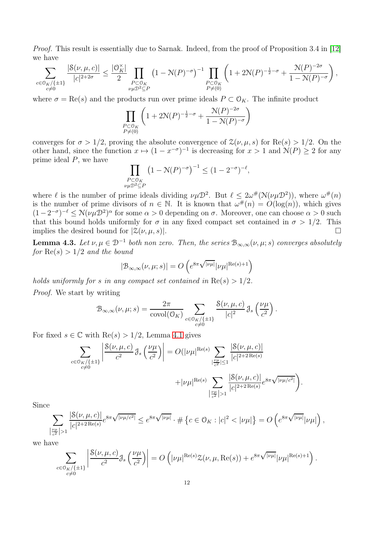Proof. This result is essentially due to Sarnak. Indeed, from the proof of Proposition 3.4 in [\[12\]](#page-22-9) we have

$$
\sum_{\substack{c \in \mathbb{O}_K/\{\pm 1\}\\c \neq 0}}\frac{|\mathcal{S}(\nu,\mu,c)|}{|c|^{2+2\sigma}} \leq \frac{|\mathbb{O}_K^{\times}|}{2}\prod_{\substack{P \subset \mathbb{O}_K\\ \nu\mu\mathbb{D}^2 \subseteq P}}\left(1-\mathcal{N}(P)^{-\sigma}\right)^{-1}\prod_{\substack{P \subset \mathbb{O}_K\\P \neq (0)}}\left(1+2\mathcal{N}(P)^{-\frac{1}{2}-\sigma}+\frac{\mathcal{N}(P)^{-2\sigma}}{1-\mathcal{N}(P)^{-\sigma}}\right),
$$

where  $\sigma = \text{Re}(s)$  and the products run over prime ideals  $P \subset \mathcal{O}_K$ . The infinite product

$$
\prod_{\substack{P \subset \mathbb{O}_K \\ P \neq (0)}} \left( 1 + 2 \mathcal{N}(P)^{-\frac{1}{2} - \sigma} + \frac{\mathcal{N}(P)^{-2\sigma}}{1 - \mathcal{N}(P)^{-\sigma}} \right)
$$

converges for  $\sigma > 1/2$ , proving the absolute convergence of  $\mathcal{Z}(\nu, \mu, s)$  for  $\text{Re}(s) > 1/2$ . On the other hand, since the function  $x \mapsto (1 - x^{-\sigma})^{-1}$  is decreasing for  $x > 1$  and  $\mathcal{N}(P) \ge 2$  for any prime ideal P, we have

$$
\prod_{\substack{P \subset \mathbb{O}_K \\ \nu \mu \mathcal{D}^2 \subseteq P}} \left(1 - \mathcal{N}(P)^{-\sigma}\right)^{-1} \le (1 - 2^{-\sigma})^{-\ell},
$$

where  $\ell$  is the number of prime ideals dividing  $\nu\mu\mathcal{D}^2$ . But  $\ell \leq 2\omega^{\#}(\mathcal{N}(\nu\mu\mathcal{D}^2))$ , where  $\omega^{\#}(n)$ is the number of prime divisors of  $n \in \mathbb{N}$ . It is known that  $\omega^{\#}(n) = O(\log(n))$ , which gives  $(1-2^{-\sigma})^{-\ell} \le N(\nu\mu\mathcal{D}^2)^{\alpha}$  for some  $\alpha > 0$  depending on  $\sigma$ . Moreover, one can choose  $\alpha > 0$  such that this bound holds uniformly for  $\sigma$  in any fixed compact set contained in  $\sigma > 1/2$ . This implies the desired bound for  $|\mathcal{Z}(\nu,\mu,s)|$ .

<span id="page-11-0"></span>**Lemma 4.3.** Let  $\nu, \mu \in \mathcal{D}^{-1}$  both non zero. Then, the series  $\mathcal{B}_{\infty,\infty}(\nu,\mu;s)$  converges absolutely for  $\text{Re}(s) > 1/2$  and the bound

$$
|\mathcal{B}_{\infty,\infty}(\nu,\mu;s)| = O\left(e^{8\pi\sqrt{|\nu\mu|}}|\nu\mu|^{\text{Re}(s)+1}\right)
$$

holds uniformly for s in any compact set contained in  $\text{Re}(s) > 1/2$ .

Proof. We start by writing

$$
\mathcal{B}_{\infty,\infty}(\nu,\mu;s) = \frac{2\pi}{\text{covol}(\mathcal{O}_K)} \sum_{\substack{c \in \mathcal{O}_K/\{\pm 1\} \\ c \neq 0}} \frac{\mathcal{S}(\nu,\mu,c)}{|c|^2} \mathcal{J}_s\left(\frac{\nu\mu}{c^2}\right).
$$

For fixed  $s \in \mathbb{C}$  with  $\text{Re}(s) > 1/2$ , Lemma [4.1](#page-10-1) gives

$$
\sum_{\substack{c \in \mathcal{O}_{K}/\{\pm 1\} \\ c \neq 0}} \left| \frac{\mathcal{S}(\nu, \mu, c)}{c^{2}} \mathcal{J}_{s} \left( \frac{\nu \mu}{c^{2}} \right) \right| = O(|\nu \mu|^{\text{Re}(s)} \sum_{|\frac{\nu \mu}{c^{2}}| \leq 1} \frac{|\mathcal{S}(\nu, \mu, c)|}{|c|^{2+2 \text{Re}(s)}} + |\nu \mu|^{\text{Re}(s)} \sum_{|\frac{\nu \mu}{c^{2}}| > 1} \frac{|\mathcal{S}(\nu, \mu, c)|}{|c|^{2+2 \text{Re}(s)}} e^{8\pi \sqrt{|\nu \mu/c^{2}|}} \right).
$$

Since

$$
\sum_{\left|\frac{\nu\mu}{c^2}\right|>1}\frac{|\mathcal{S}(\nu,\mu,c)|}{|c|^{2+2\operatorname{Re}(s)}}e^{8\pi\sqrt{|\nu\mu/c^2|}}\leq e^{8\pi\sqrt{|\nu\mu|}}\cdot\#\left\{c\in\mathbb{O}_{K}:|c|^2<|\nu\mu|\right\}=O\left(e^{8\pi\sqrt{|\nu\mu|}}|\nu\mu|\right),
$$

we have

$$
\sum_{\substack{c \in \mathcal{O}_K/\{\pm 1\} \\ c \neq 0}} \left| \frac{\mathcal{S}(\nu, \mu, c)}{c^2} \mathcal{J}_s \left( \frac{\nu \mu}{c^2} \right) \right| = O\left( |\nu \mu|^{\text{Re}(s)} \mathcal{Z}(\nu, \mu, \text{Re}(s)) + e^{8\pi \sqrt{|\nu \mu|}} |\nu \mu|^{\text{Re}(s) + 1} \right).
$$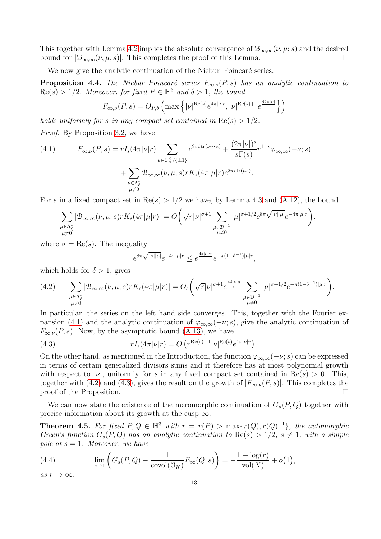This together with Lemma [4.2](#page-10-2) implies the absolute convergence of  $\mathcal{B}_{\infty,\infty}(\nu,\mu;s)$  and the desired<br>bound for  $|\mathcal{B}_{\infty,\infty}(\nu,\mu;s)|$ . This completes the proof of this Lemma. bound for  $|\mathcal{B}_{\infty,\infty}(\nu,\mu;s)|$ . This completes the proof of this Lemma.

We now give the analytic continuation of the Niebur–Poincaré series.

<span id="page-12-3"></span>**Proposition 4.4.** The Niebur–Poincaré series  $F_{\infty,\nu}(P, s)$  has an analytic continuation to  $\text{Re}(s) > 1/2$ . Moreover, for fixed  $P \in \mathbb{H}^3$  and  $\delta > 1$ , the bound

$$
F_{\infty,\nu}(P,s) = O_{P,\delta}\left(\max\left\{|\nu|^{\text{Re}(s)}e^{4\pi|\nu|r},|\nu|^{\text{Re}(s)+1}e^{\frac{4\delta\pi|\nu|}{r}}\right\}\right)
$$

holds uniformly for s in any compact set contained in  $\text{Re}(s) > 1/2$ .

Proof. By Proposition [3.2,](#page-8-2) we have

<span id="page-12-0"></span>(4.1) 
$$
F_{\infty,\nu}(P,s) = rI_s(4\pi|\nu|r) \sum_{u \in \mathcal{O}_K^{\times}/\{\pm 1\}} e^{2\pi i \operatorname{tr}(\nu u^2 z)} + \frac{(2\pi|\nu|)^s}{s\Gamma(s)} r^{1-s} \varphi_{\infty,\infty}(-\nu;s)
$$

$$
+ \sum_{\substack{\mu \in \Lambda_{\xi}^* \\ \mu \neq 0}} \mathcal{B}_{\infty,\infty}(\nu,\mu;s) rK_s(4\pi|\mu|r) e^{2\pi i \operatorname{tr}(\mu z)}.
$$

For s in a fixed compact set in  $\text{Re}(s) > 1/2$  we have, by Lemma [4.3](#page-11-0) and [\(A.12\)](#page-20-3), the bound

$$
\sum_{\substack{\mu \in \Lambda_{\xi}^* \\ \mu \neq 0}} |\mathcal{B}_{\infty,\infty}(\nu,\mu;s) r K_s(4\pi|\mu|r)| = O\bigg(\sqrt{r}|\nu|^{\sigma+1} \sum_{\substack{\mu \in \mathcal{D}^{-1} \\ \mu \neq 0}} |\mu|^{\sigma+1/2} e^{8\pi \sqrt{|\nu||\mu|}} e^{-4\pi|\mu|r}\bigg),
$$

where  $\sigma = \text{Re}(s)$ . The inequality

<span id="page-12-2"></span>
$$
e^{8\pi \sqrt{|\nu||\mu|}} e^{-4\pi |\mu| r} \leq e^{\frac{4\delta |\nu|\pi}{r}} e^{-\pi (1-\delta^{-1})|\mu| r},
$$

which holds for  $\delta > 1$ , gives

<span id="page-12-1"></span>
$$
(4.2) \qquad \sum_{\substack{\mu \in \Lambda_{\xi}^{*} \\ \mu \neq 0}} |\mathcal{B}_{\infty,\infty}(\nu,\mu;s) r K_{s}(4\pi|\mu|r)| = O_{s}\bigg(\sqrt{r}|\nu|^{\sigma+1} e^{\frac{4\delta|\nu|\pi}{r}} \sum_{\substack{\mu \in \mathcal{D}^{-1} \\ \mu \neq 0}} |\mu|^{\sigma+1/2} e^{-\pi(1-\delta^{-1})|\mu|r}\bigg).
$$

In particular, the series on the left hand side converges. This, together with the Fourier ex-pansion [\(4.1\)](#page-12-0) and the analytic continuation of  $\varphi_{\infty,\infty}(-\nu;s)$ , give the analytic continuation of  $F_{\infty,\nu}(P,s)$ . Now, by the asymptotic bound [\(A.13\)](#page-20-1), we have

(4.3) 
$$
rI_s(4\pi|\nu|r) = O\left(r^{\text{Re}(s)+1}|\nu|^{\text{Re}(s)}e^{4\pi|\nu|r}\right).
$$

On the other hand, as mentioned in the Introduction, the function  $\varphi_{\infty,\infty}(-\nu; s)$  can be expressed in terms of certain generalized divisors sums and it therefore has at most polynomial growth with respect to |v|, uniformly for s in any fixed compact set contained in Re(s) > 0. This, together with [\(4.2\)](#page-12-1) and [\(4.3\)](#page-12-2), gives the result on the growth of  $|F_{\infty,\nu}(P,s)|$ . This completes the proposition. proof of the Proposition.

We can now state the existence of the meromorphic continuation of  $G_s(P,Q)$  together with precise information about its growth at the cusp  $\infty$ .

**Theorem 4.5.** For fixed  $P, Q \in \mathbb{H}^3$  with  $r = r(P) > \max\{r(Q), r(Q)^{-1}\}\$ , the automorphic Green's function  $G_s(P,Q)$  has an analytic continuation to  $\text{Re}(s) > 1/2$ ,  $s \neq 1$ , with a simple pole at  $s = 1$ . Moreover, we have

<span id="page-12-4"></span>(4.4) 
$$
\lim_{s \to 1} \left( G_s(P,Q) - \frac{1}{\text{covol}(\mathcal{O}_K)} E_\infty(Q,s) \right) = -\frac{1 + \log(r)}{\text{vol}(X)} + o(1),
$$

as  $r \to \infty$ .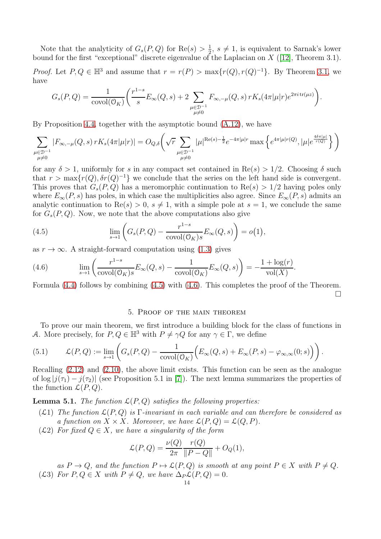Note that the analyticity of  $G_s(P,Q)$  for  $\text{Re}(s) > \frac{1}{2}$  $\frac{1}{2}$ ,  $s \neq 1$ , is equivalent to Sarnak's lower bound for the first "exceptional" discrete eigenvalue of the Laplacian on  $X$  ([\[12\]](#page-22-9), Theorem 3.1).

*Proof.* Let  $P, Q \in \mathbb{H}^3$  and assume that  $r = r(P) > \max\{r(Q), r(Q)^{-1}\}\$ . By Theorem [3.1,](#page-6-1) we have

$$
G_s(P,Q) = \frac{1}{\text{covol}(\mathcal{O}_K)} \bigg( \frac{r^{1-s}}{s} E_\infty(Q,s) + 2 \sum_{\substack{\mu \in \mathcal{D}^{-1} \\ \mu \neq 0}} F_{\infty,-\mu}(Q,s) \, r K_s(4\pi|\mu|r) e^{2\pi i \, \text{tr}(\mu z)} \bigg).
$$

By Proposition [4.4,](#page-12-3) together with the asymptotic bound [\(A.12\)](#page-20-3), we have

$$
\sum_{\substack{\mu \in \mathcal{D}^{-1} \\ \mu \neq 0}} |F_{\infty, -\mu}(Q, s) \, rK_s(4\pi|\mu|r)| = O_{Q, \delta}\bigg(\sqrt{r} \sum_{\substack{\mu \in \mathcal{D}^{-1} \\ \mu \neq 0}} |\mu|^{\text{Re}(s) - \frac{1}{2}} e^{-4\pi|\mu|r} \max\left\{e^{4\pi|\mu|r(Q)}, |\mu|e^{\frac{4\delta \pi|\mu|}{r(Q)}}\right\}\bigg)
$$

for any  $\delta > 1$ , uniformly for s in any compact set contained in Re(s)  $> 1/2$ . Choosing  $\delta$  such that  $r > \max\{r(Q), \delta r(Q)^{-1}\}\$  we conclude that the series on the left hand side is convergent. This proves that  $G_s(P,Q)$  has a meromorphic continuation to  $Re(s) > 1/2$  having poles only where  $E_{\infty}(P, s)$  has poles, in which case the multiplicities also agree. Since  $E_{\infty}(P, s)$  admits an analytic continuation to  $\text{Re}(s) > 0$ ,  $s \neq 1$ , with a simple pole at  $s = 1$ , we conclude the same for  $G_s(P,Q)$ . Now, we note that the above computations also give

<span id="page-13-2"></span>(4.5) 
$$
\lim_{s \to 1} \left( G_s(P,Q) - \frac{r^{1-s}}{\text{covol}(\mathcal{O}_K)s} E_\infty(Q,s) \right) = o(1),
$$

as  $r \to \infty$ . A straight-forward computation using [\(1.3\)](#page-2-2) gives

<span id="page-13-3"></span>(4.6) 
$$
\lim_{s \to 1} \left( \frac{r^{1-s}}{\text{covol}(\mathcal{O}_K)s} E_{\infty}(Q, s) - \frac{1}{\text{covol}(\mathcal{O}_K)} E_{\infty}(Q, s) \right) = -\frac{1 + \log(r)}{\text{vol}(X)}.
$$

<span id="page-13-0"></span>Formula [\(4.4\)](#page-12-4) follows by combining [\(4.5\)](#page-13-2) with [\(4.6\)](#page-13-3). This completes the proof of the Theorem.  $\Box$ 

#### 5. Proof of the main theorem

To prove our main theorem, we first introduce a building block for the class of functions in A. More precisely, for  $P, Q \in \mathbb{H}^3$  with  $P \neq \gamma Q$  for any  $\gamma \in \Gamma$ , we define

<span id="page-13-1"></span>(5.1) 
$$
\mathcal{L}(P,Q) := \lim_{s \to 1} \left( G_s(P,Q) - \frac{1}{\text{covol}(\mathcal{O}_K)} \Big( E_\infty(Q,s) + E_\infty(P,s) - \varphi_{\infty,\infty}(0;s) \Big) \right).
$$

Recalling  $(2.12)$  and  $(2.10)$ , the above limit exists. This function can be seen as the analogue of  $\log |j(\tau_1) - j(\tau_2)|$  (see Proposition 5.1 in [\[7\]](#page-22-11)). The next lemma summarizes the properties of the function  $\mathcal{L}(P,Q)$ .

**Lemma 5.1.** The function  $\mathcal{L}(P,Q)$  satisfies the following properties:

- (L1) The function  $\mathcal{L}(P,Q)$  is Γ-invariant in each variable and can therefore be considered as a function on  $X \times X$ . Moreover, we have  $\mathcal{L}(P,Q) = \mathcal{L}(Q,P)$ .
- (L2) For fixed  $Q \in X$ , we have a singularity of the form

$$
\mathcal{L}(P,Q) = \frac{\nu(Q)}{2\pi} \frac{r(Q)}{\|P-Q\|} + O_Q(1),
$$

as  $P \to Q$ , and the function  $P \mapsto \mathcal{L}(P, Q)$  is smooth at any point  $P \in X$  with  $P \neq Q$ . (L3) For  $P, Q \in X$  with  $P \neq Q$ , we have  $\Delta_P \mathcal{L}(P, Q) = 0$ .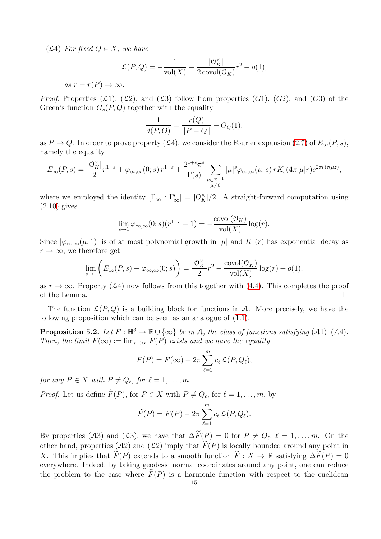$(\mathcal{L}4)$  For fixed  $Q \in X$ , we have

$$
\mathcal{L}(P,Q) = -\frac{1}{\text{vol}(X)} - \frac{|\mathcal{O}_K^{\times}|}{2 \text{ covol}(\mathcal{O}_K)} r^2 + o(1),
$$

as  $r = r(P) \rightarrow \infty$ .

*Proof.* Properties  $(\mathcal{L}1)$ ,  $(\mathcal{L}2)$ , and  $(\mathcal{L}3)$  follow from properties  $(G1)$ ,  $(G2)$ , and  $(G3)$  of the Green's function  $G_s(P,Q)$  together with the equality

$$
\frac{1}{d(P,Q)} = \frac{r(Q)}{\|P-Q\|} + O_Q(1),
$$

as  $P \to Q$ . In order to prove property (L4), we consider the Fourier expansion [\(2.7\)](#page-5-4) of  $E_{\infty}(P, s)$ , namely the equality

$$
E_{\infty}(P,s) = \frac{|\mathcal{O}_K^{\times}|}{2} r^{1+s} + \varphi_{\infty,\infty}(0;s) r^{1-s} + \frac{2^{1+s}\pi^s}{\Gamma(s)} \sum_{\substack{\mu \in \mathcal{D}^{-1} \\ \mu \neq 0}} |\mu|^s \varphi_{\infty,\infty}(\mu;s) r K_s(4\pi|\mu|r) e^{2\pi i \text{tr}(\mu z)},
$$

where we employed the identity  $[\Gamma_{\infty} : \Gamma'_{\infty}] = |0_K^{\times}|/2$ . A straight-forward computation using  $(2.10)$  gives

$$
\lim_{s \to 1} \varphi_{\infty,\infty}(0; s)(r^{1-s} - 1) = -\frac{\text{covol}(\mathcal{O}_K)}{\text{vol}(X)} \log(r).
$$

Since  $|\varphi_{\infty,\infty}(\mu;1)|$  is of at most polynomial growth in  $|\mu|$  and  $K_1(r)$  has exponential decay as  $r \to \infty$ , we therefore get

$$
\lim_{s \to 1} \left( E_{\infty}(P, s) - \varphi_{\infty, \infty}(0; s) \right) = \frac{|\mathcal{O}_K^{\times}|}{2} r^2 - \frac{\text{covol}(\mathcal{O}_K)}{\text{vol}(X)} \log(r) + o(1),
$$

as  $r \to \infty$ . Property (L4) now follows from this together with [\(4.4\)](#page-12-4). This completes the proof of the Lemma. of the Lemma.

The function  $\mathcal{L}(P,Q)$  is a building block for functions in A. More precisely, we have the following proposition which can be seen as an analogue of [\(1.1\)](#page-0-0).

<span id="page-14-0"></span>**Proposition 5.2.** Let  $F : \mathbb{H}^3 \to \mathbb{R} \cup \{\infty\}$  be in A, the class of functions satisfying  $(A1)$ – $(A4)$ . Then, the limit  $F(\infty) := \lim_{r \to \infty} F(P)$  exists and we have the equality

$$
F(P) = F(\infty) + 2\pi \sum_{\ell=1}^{m} c_{\ell} \mathcal{L}(P, Q_{\ell}),
$$

for any  $P \in X$  with  $P \neq Q_{\ell}$ , for  $\ell = 1, \ldots, m$ .

*Proof.* Let us define  $F(P)$ , for  $P \in X$  with  $P \neq Q_{\ell}$ , for  $\ell = 1, \ldots, m$ , by

$$
\widetilde{F}(P) = F(P) - 2\pi \sum_{\ell=1}^{m} c_{\ell} \mathcal{L}(P, Q_{\ell}).
$$

By properties (A3) and (L3), we have that  $\Delta F(\mathcal{P}) = 0$  for  $P \neq Q_{\ell}, \ell = 1, \ldots, m$ . On the other hand, properties (A2) and ( $\mathcal{L}2$ ) imply that  $\widetilde{F}(P)$  is locally bounded around any point in X. This implies that  $\widetilde{F}(P)$  extends to a smooth function  $\widetilde{F}: X \to \mathbb{R}$  satisfying  $\Delta \widetilde{F}(P) = 0$ everywhere. Indeed, by taking geodesic normal coordinates around any point, one can reduce the problem to the case where  $F(P)$  is a harmonic function with respect to the euclidean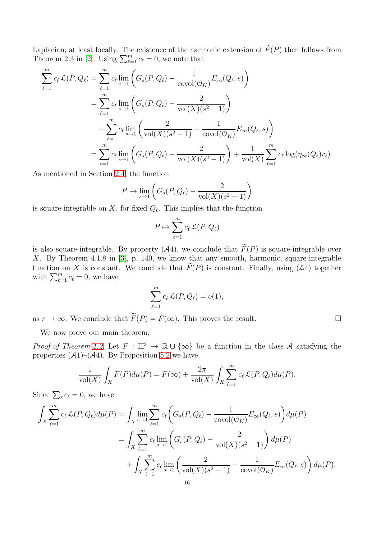Laplacian, at least locally. The existence of the harmonic extension of  $\widetilde{F}(P)$  then follows from Theorem 2.3 in [\[2\]](#page-22-12). Using  $\sum_{\ell=1}^{m} c_{\ell} = 0$ , we note that

$$
\sum_{\ell=1}^{m} c_{\ell} \mathcal{L}(P, Q_{\ell}) = \sum_{\ell=1}^{m} c_{\ell} \lim_{s \to 1} \left( G_s(P, Q_{\ell}) - \frac{1}{\text{covol}(O_K)} E_{\infty}(Q_{\ell}, s) \right)
$$
  
= 
$$
\sum_{\ell=1}^{m} c_{\ell} \lim_{s \to 1} \left( G_s(P, Q_{\ell}) - \frac{2}{\text{vol}(X)(s^2 - 1)} \right)
$$
  
+ 
$$
\sum_{\ell=1}^{m} c_{\ell} \lim_{s \to 1} \left( \frac{2}{\text{vol}(X)(s^2 - 1)} - \frac{1}{\text{covol}(O_K)} E_{\infty}(Q_{\ell}, s) \right)
$$
  
= 
$$
\sum_{\ell=1}^{m} c_{\ell} \lim_{s \to 1} \left( G_s(P, Q_{\ell}) - \frac{2}{\text{vol}(X)(s^2 - 1)} \right) + \frac{1}{\text{vol}(X)} \sum_{\ell=1}^{m} c_{\ell} \log(\eta_{\infty}(Q_{\ell}) r_{\ell}).
$$

As mentioned in Section [2.4,](#page-6-3) the function

$$
P \mapsto \lim_{s \to 1} \left( G_s(P, Q_\ell) - \frac{2}{\text{vol}(X)(s^2 - 1)} \right)
$$

is square-integrable on X, for fixed  $Q_{\ell}$ . This implies that the function

$$
P \mapsto \sum_{\ell=1}^m c_\ell \mathcal{L}(P, Q_\ell)
$$

is also square-integrable. By property (A4), we conclude that  $\widetilde{F}(P)$  is square-integrable over X. By Theorem  $\widetilde{4.1.8}$  in  $\widetilde{3}$ , p. 140, we know that any smooth, harmonic, square-integrable function on X is constant. We conclude that  $\tilde{F}(P)$  is constant. Finally, using ( $\mathcal{L}4$ ) together with  $\sum_{\ell=1}^{m} c_{\ell} = 0$ , we have

$$
\sum_{\ell=1}^m c_\ell \mathcal{L}(P,Q_\ell) = o(1),
$$

as  $r \to \infty$ . We conclude that  $\widetilde{F}(P) = F(\infty)$ . This proves the result.

We now prove our main theorem.

Proof of Theorem [1.2.](#page-2-1) Let  $F : \mathbb{H}^3 \to \mathbb{R} \cup {\infty}$  be a function in the class A satisfying the properties  $(A1)$ – $(A4)$ . By Proposition [5.2](#page-14-0) we have

$$
\frac{1}{\text{vol}(X)} \int_X F(P) d\mu(P) = F(\infty) + \frac{2\pi}{\text{vol}(X)} \int_X \sum_{\ell=1}^m c_\ell \mathcal{L}(P, Q_\ell) d\mu(P).
$$

Since  $\sum_{\ell} c_{\ell} = 0$ , we have

$$
\int_{X} \sum_{\ell=1}^{m} c_{\ell} \mathcal{L}(P, Q_{\ell}) d\mu(P) = \int_{X} \lim_{s \to 1} \sum_{\ell=1}^{m} c_{\ell} \left( G_{s}(P, Q_{\ell}) - \frac{1}{\text{covol}(\mathcal{O}_{K})} E_{\infty}(Q_{\ell}, s) \right) d\mu(P)
$$
  
= 
$$
\int_{X} \sum_{\ell=1}^{m} c_{\ell} \lim_{s \to 1} \left( G_{s}(P, Q_{\ell}) - \frac{2}{\text{vol}(X)(s^{2} - 1)} \right) d\mu(P)
$$
  
+ 
$$
\int_{X} \sum_{\ell=1}^{m} c_{\ell} \lim_{s \to 1} \left( \frac{2}{\text{vol}(X)(s^{2} - 1)} - \frac{1}{\text{covol}(\mathcal{O}_{K})} E_{\infty}(Q_{\ell}, s) \right) d\mu(P).
$$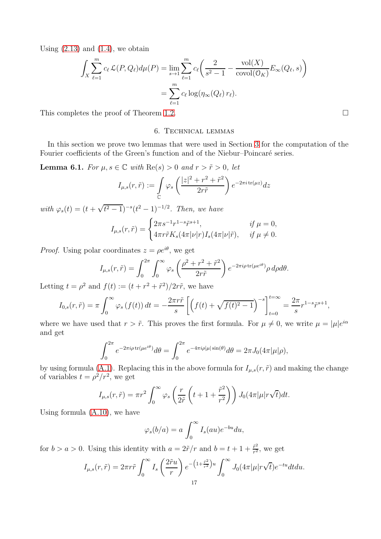Using  $(2.13)$  and  $(1.4)$ , we obtain

$$
\int_X \sum_{\ell=1}^m c_\ell \mathcal{L}(P, Q_\ell) d\mu(P) = \lim_{s \to 1} \sum_{\ell=1}^m c_\ell \left( \frac{2}{s^2 - 1} - \frac{\text{vol}(X)}{\text{covol}(\mathcal{O}_K)} E_\infty(Q_\ell, s) \right)
$$

$$
= \sum_{\ell=1}^m c_\ell \log(\eta_\infty(Q_\ell) r_\ell).
$$

<span id="page-16-0"></span>This completes the proof of Theorem [1.2.](#page-2-1)

#### 6. Technical lemmas

In this section we prove two lemmas that were used in Section [3](#page-6-0) for the computation of the Fourier coefficients of the Green's function and of the Niebur–Poincaré series.

<span id="page-16-1"></span>**Lemma 6.1.** For  $\mu, s \in \mathbb{C}$  with  $\text{Re}(s) > 0$  and  $r > \tilde{r} > 0$ , let

$$
I_{\mu,s}(r,\tilde{r}) := \int\limits_{\mathbb{C}} \varphi_s \left( \frac{|z|^2 + r^2 + \tilde{r}^2}{2r\tilde{r}} \right) e^{-2\pi i \operatorname{tr}(\mu z)} dz
$$

with  $\varphi_s(t) = (t + \sqrt{t^2 - 1})^{-s} (t^2 - 1)^{-1/2}$ . Then, we have

$$
I_{\mu,s}(r,\tilde{r}) = \begin{cases} 2\pi s^{-1}r^{1-s}\tilde{r}^{s+1}, & \text{if } \mu = 0, \\ 4\pi r\tilde{r}K_s(4\pi|\nu|r)I_s(4\pi|\nu|\tilde{r}), & \text{if } \mu \neq 0. \end{cases}
$$

*Proof.* Using polar coordinates  $z = \rho e^{i\theta}$ , we get

$$
I_{\mu,s}(r,\tilde{r}) = \int_0^{2\pi} \int_0^{\infty} \varphi_s \left(\frac{\rho^2 + r^2 + \tilde{r}^2}{2r\tilde{r}}\right) e^{-2\pi i \rho \operatorname{tr}(\mu e^{i\theta})} \rho \, d\rho d\theta.
$$

Letting  $t = \rho^2$  and  $f(t) := (t + r^2 + \tilde{r}^2)/2r\tilde{r}$ , we have

$$
I_{0,s}(r,\tilde{r}) = \pi \int_0^\infty \varphi_s\left(f(t)\right) dt = -\frac{2\pi r \tilde{r}}{s} \left[ \left(f(t) + \sqrt{f(t)^2 - 1} \right)^{-s} \right]_{t=0}^{t=\infty} = \frac{2\pi}{s} r^{1-s} \tilde{r}^{s+1},
$$

where we have used that  $r > \tilde{r}$ . This proves the first formula. For  $\mu \neq 0$ , we write  $\mu = |\mu|e^{i\alpha}$ and get

$$
\int_0^{2\pi} e^{-2\pi i \rho \operatorname{tr}(\mu e^{i\theta})} d\theta = \int_0^{2\pi} e^{-4\pi i \rho |\mu| \sin(\theta)} d\theta = 2\pi J_0(4\pi |\mu|\rho),
$$

by using formula [\(A.1\)](#page-19-0). Replacing this in the above formula for  $I_{\mu,s}(r,\tilde{r})$  and making the change of variables  $t = \rho^2/r^2$ , we get

$$
I_{\mu,s}(r,\tilde{r}) = \pi r^2 \int_0^\infty \varphi_s \left( \frac{r}{2\tilde{r}} \left( t + 1 + \frac{\tilde{r}^2}{r^2} \right) \right) J_0(4\pi |\mu| r \sqrt{t}) dt.
$$

Using formula [\(A.10\)](#page-20-4), we have

$$
\varphi_s(b/a) = a \int_0^\infty I_s(au)e^{-bu} du,
$$

for  $b > a > 0$ . Using this identity with  $a = 2\tilde{r}/r$  and  $b = t + 1 + \frac{\tilde{r}^2}{r^2}$  $\frac{r^2}{r^2}$ , we get

$$
I_{\mu,s}(r,\tilde{r}) = 2\pi r\tilde{r} \int_0^\infty I_s\left(\frac{2\tilde{r}u}{r}\right) e^{-\left(1+\frac{\tilde{r}^2}{r^2}\right)u} \int_0^\infty J_0(4\pi|\mu|r\sqrt{t})e^{-tu}dtdu.
$$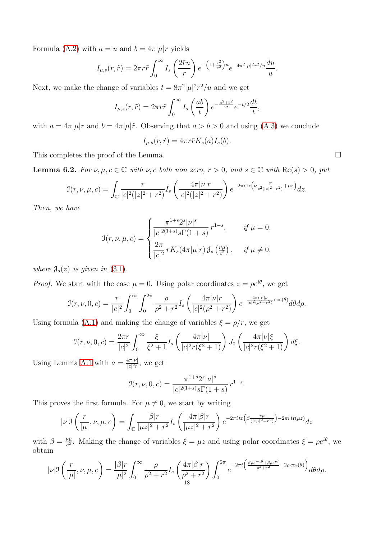Formula [\(A.2\)](#page-19-1) with  $a = u$  and  $b = 4\pi |\mu| r$  yields

$$
I_{\mu,s}(r,\tilde{r}) = 2\pi r \tilde{r} \int_0^\infty I_s\left(\frac{2\tilde{r}u}{r}\right) e^{-\left(1+\frac{\tilde{r}^2}{r^2}\right)u} e^{-4\pi^2|\mu|^2 r^2/u} \frac{du}{u}.
$$

Next, we make the change of variables  $t = 8\pi^2 |\mu|^2 r^2/u$  and we get

$$
I_{\mu,s}(r,\tilde{r}) = 2\pi r \tilde{r} \int_0^\infty I_s\left(\frac{ab}{t}\right) e^{-\frac{a^2+b^2}{2t}} e^{-t/2} \frac{dt}{t},
$$

with  $a = 4\pi |\mu|r$  and  $b = 4\pi |\mu|\tilde{r}$ . Observing that  $a > b > 0$  and using [\(A.3\)](#page-19-2) we conclude

$$
I_{\mu,s}(r,\tilde{r}) = 4\pi r \tilde{r} K_s(a) I_s(b).
$$

This completes the proof of the Lemma.  $\Box$ 

<span id="page-17-0"></span>**Lemma 6.2.** For  $\nu, \mu, c \in \mathbb{C}$  with  $\nu, c$  both non zero,  $r > 0$ , and  $s \in \mathbb{C}$  with  $\text{Re}(s) > 0$ , put

$$
\mathcal{I}(r,\nu,\mu,c) = \int_{\mathbb{C}} \frac{r}{|c|^2(|z|^2 + r^2)} I_s\left(\frac{4\pi|\nu|r}{|c|^2(|z|^2 + r^2)}\right) e^{-2\pi i \operatorname{tr}\left(\nu \frac{z}{c^2(|z|^2 + r^2)} + \mu z\right)} dz.
$$

Then, we have

$$
\mathfrak{I}(r,\nu,\mu,c) = \begin{cases} \frac{\pi^{1+s}2^s|\nu|^s}{|c|^{2(1+s)}s\Gamma(1+s)} r^{1-s}, & \text{if } \mu = 0, \\ \frac{2\pi}{|c|^2} r K_s(4\pi|\mu|r) \mathfrak{J}_s\left(\frac{\nu\mu}{c^2}\right), & \text{if } \mu \neq 0, \end{cases}
$$

where  $\mathcal{J}_s(z)$  is given in [\(3.1\)](#page-8-0).

*Proof.* We start with the case  $\mu = 0$ . Using polar coordinates  $z = \rho e^{i\theta}$ , we get

$$
\mathcal{I}(r,\nu,0,c) = \frac{r}{|c|^2} \int_0^\infty \int_0^{2\pi} \frac{\rho}{\rho^2 + r^2} I_s \left( \frac{4\pi |\nu| r}{|c|^2 (\rho^2 + r^2)} \right) e^{-\frac{4\pi i |\nu| \rho}{|c|^2 (\rho^2 + r^2)}} \cos(\theta) d\theta d\rho.
$$

Using formula [\(A.1\)](#page-19-0) and making the change of variables  $\xi = \rho/r$ , we get

$$
\mathcal{I}(r,\nu,0,c) = \frac{2\pi r}{|c|^2} \int_0^\infty \frac{\xi}{\xi^2 + 1} I_s\left(\frac{4\pi|\nu|}{|c|^2 r(\xi^2 + 1)}\right) J_0\left(\frac{4\pi|\nu|\xi}{|c|^2 r(\xi^2 + 1)}\right) d\xi.
$$

Using Lemma [A.1](#page-20-5) with  $a = \frac{4\pi|\nu|}{|\nu|^2r}$  $\frac{4\pi|\nu|}{|c|^2r}$ , we get

$$
\mathcal{I}(r,\nu,0,c) = \frac{\pi^{1+s} 2^s |\nu|^s}{|c|^{2(1+s)} s \Gamma(1+s)} r^{1-s}.
$$

This proves the first formula. For  $\mu \neq 0$ , we start by writing

$$
|\nu| \mathfrak{I}\left(\frac{r}{|\mu|},\nu,\mu,c\right) = \int_{\mathbb{C}} \frac{|\beta|r}{|\mu z|^2 + r^2} I_s\left(\frac{4\pi|\beta|r}{|\mu z|^2 + r^2}\right) e^{-2\pi i \operatorname{tr}\left(\beta \frac{\overline{z\mu}}{(|z\mu|^2 + r^2)}\right) - 2\pi i \operatorname{tr}(\mu z)} dz
$$

with  $\beta = \frac{\nu \mu}{c^2}$  $\frac{\nu_{\mu}}{c^2}$ . Making the change of variables  $\xi = \mu z$  and using polar coordinates  $\xi = \rho e^{i\theta}$ , we obtain

$$
|\nu| \mathcal{I}\left(\frac{r}{|\mu|}, \nu, \mu, c\right) = \frac{|\beta|r}{|\mu|^2} \int_0^\infty \frac{\rho}{\rho^2 + r^2} I_s\left(\frac{4\pi|\beta|r}{\rho^2 + r^2}\right) \int_0^{2\pi} e^{-2\pi i \left(\frac{\beta \rho e^{-i\theta} + \overline{\beta} \rho e^{i\theta}}{\rho^2 + r^2} + 2\rho \cos(\theta)\right)} d\theta d\rho.
$$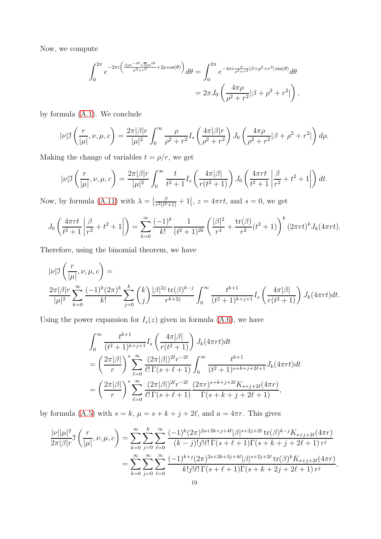Now, we compute

$$
\int_0^{2\pi} e^{-2\pi i \left(\frac{\beta \rho e^{-i\theta} + \overline{\beta} \rho e^{i\theta}}{\rho^2 + r^2} + 2\rho \cos(\theta)\right)} d\theta = \int_0^{2\pi} e^{-4\pi i \frac{\rho}{\rho^2 + r^2} |\beta + \rho^2 + r^2| \sin(\theta)} d\theta
$$
  
= 
$$
2\pi J_0 \left(\frac{4\pi \rho}{\rho^2 + r^2} |\beta + \rho^2 + r^2|\right),
$$

by formula [\(A.1\)](#page-19-0). We conclude

$$
|\nu| \mathcal{I}\left(\frac{r}{|\mu|}, \nu, \mu, c\right) = \frac{2\pi |\beta|r}{|\mu|^2} \int_0^\infty \frac{\rho}{\rho^2 + r^2} I_s\left(\frac{4\pi |\beta|r}{\rho^2 + r^2}\right) J_0\left(\frac{4\pi \rho}{\rho^2 + r^2} |\beta + \rho^2 + r^2|\right) d\rho.
$$

Making the change of variables  $t = \rho/r$ , we get

$$
|\nu| \mathcal{I}\left(\frac{r}{|\mu|}, \nu, \mu, c\right) = \frac{2\pi |\beta| r}{|\mu|^2} \int_0^\infty \frac{t}{t^2 + 1} I_s\left(\frac{4\pi |\beta|}{r(t^2 + 1)}\right) J_0\left(\frac{4\pi r t}{t^2 + 1} \left|\frac{\beta}{r^2} + t^2 + 1\right|\right) dt.
$$

Now, by formula [\(A.11\)](#page-20-6) with  $\lambda = \left| \frac{\beta}{r^2(t^2)} \right|$  $\frac{\beta}{r^2(t^2+1)} + 1$ ,  $z = 4\pi rt$ , and  $s = 0$ , we get

$$
J_0\left(\frac{4\pi rt}{t^2+1}\left|\frac{\beta}{r^2}+t^2+1\right|\right)=\sum_{k=0}^{\infty}\frac{(-1)^k}{k!}\frac{1}{(t^2+1)^{2k}}\left(\frac{|\beta|^2}{r^4}+\frac{\text{tr}(\beta)}{r^2}(t^2+1)\right)^k(2\pi rt)^kJ_k(4\pi rt).
$$

Therefore, using the binomial theorem, we have

$$
|\nu| \mathcal{I}\left(\frac{r}{|\mu|}, \nu, \mu, c\right) =
$$
  

$$
\frac{2\pi |\beta|r}{|\mu|^2} \sum_{k=0}^{\infty} \frac{(-1)^k (2\pi)^k}{k!} \sum_{j=0}^k {k \choose j} \frac{|\beta|^{2j} \operatorname{tr}(\beta)^{k-j}}{r^{k+2j}} \int_0^{\infty} \frac{t^{k+1}}{(t^2+1)^{k+j+1}} I_s\left(\frac{4\pi |\beta|}{r(t^2+1)}\right) J_k(4\pi r t) dt.
$$

Using the power expansion for  $I_s(z)$  given in formula [\(A.6\)](#page-20-7), we have

$$
\int_0^\infty \frac{t^{k+1}}{(t^2+1)^{k+j+1}} I_s \left( \frac{4\pi|\beta|}{r(t^2+1)} \right) J_k(4\pi rt) dt
$$
  
=  $\left( \frac{2\pi|\beta|}{r} \right)^s \sum_{\ell=0}^\infty \frac{(2\pi|\beta|)^{2\ell} r^{-2\ell}}{\ell! \Gamma(s+\ell+1)} \int_0^\infty \frac{t^{k+1}}{(t^2+1)^{s+k+j+2\ell+1}} J_k(4\pi rt) dt$   
=  $\left( \frac{2\pi|\beta|}{r} \right)^s \sum_{\ell=0}^\infty \frac{(2\pi|\beta|)^{2\ell} r^{-2\ell}}{\ell! \Gamma(s+\ell+1)} \frac{(2\pi r)^{s+k+j+2\ell} K_{s+j+2\ell}(4\pi r)}{\Gamma(s+k+j+2\ell+1)},$ 

by formula [\(A.5\)](#page-19-3) with  $s = k$ ,  $\mu = s + k + j + 2\ell$ , and  $a = 4\pi r$ . This gives

$$
\frac{|\nu||\mu|^2}{2\pi|\beta|r} \mathcal{J}\left(\frac{r}{|\mu|}, \nu, \mu, c\right) = \sum_{k=0}^{\infty} \sum_{j=0}^{k} \sum_{\ell=0}^{\infty} \frac{(-1)^k (2\pi)^{2s+2k+j+4\ell} |\beta|^{s+2j+2\ell} \operatorname{tr}(\beta)^{k-j} K_{s+j+2\ell}(4\pi r)}{(k-j)! j! \ell! \Gamma(s+\ell+1) \Gamma(s+k+j+2\ell+1) r^j}
$$

$$
= \sum_{k=0}^{\infty} \sum_{j=0}^{\infty} \sum_{\ell=0}^{\infty} \frac{(-1)^{k+j} (2\pi)^{2s+2k+3j+4\ell} |\beta|^{s+2j+2\ell} \operatorname{tr}(\beta)^k K_{s+j+2\ell}(4\pi r)}{k! j! \ell! \Gamma(s+\ell+1) \Gamma(s+k+2j+2\ell+1) r^j},
$$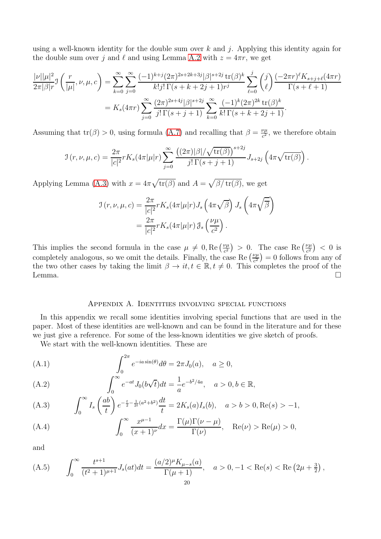using a well-known identity for the double sum over  $k$  and  $j$ . Applying this identity again for the double sum over j and  $\ell$  and using Lemma [A.2](#page-21-0) with  $z = 4\pi r$ , we get

$$
\frac{|\nu||\mu|^2}{2\pi|\beta|r} \mathcal{I}\left(\frac{r}{|\mu|}, \nu, \mu, c\right) = \sum_{k=0}^{\infty} \sum_{j=0}^{\infty} \frac{(-1)^{k+j} (2\pi)^{2s+2k+3j} |\beta|^{s+2j} \operatorname{tr}(\beta)^k}{k!j!\Gamma(s+k+2j+1)r^j} \sum_{\ell=0}^{j} {j \choose \ell} \frac{(-2\pi r)^{\ell} K_{s+j+\ell}(4\pi r)}{\Gamma(s+\ell+1)}
$$

$$
= K_s(4\pi r) \sum_{j=0}^{\infty} \frac{(2\pi)^{2s+4j} |\beta|^{s+2j}}{j!\Gamma(s+j+1)} \sum_{k=0}^{\infty} \frac{(-1)^k (2\pi)^{2k} \operatorname{tr}(\beta)^k}{k!\Gamma(s+k+2j+1)}.
$$

Assuming that  $tr(\beta) > 0$ , using formula [\(A.7\)](#page-20-8) and recalling that  $\beta = \frac{\nu \mu}{c^2}$  $\frac{\nu \mu}{c^2}$ , we therefore obtain

$$
\mathcal{I}(r,\nu,\mu,c) = \frac{2\pi}{|c|^2} r K_s(4\pi|\mu|r) \sum_{j=0}^{\infty} \frac{\left((2\pi)|\beta|/\sqrt{\text{tr}(\beta)}\right)^{s+2j}}{j!\,\Gamma(s+j+1)} J_{s+2j}\left(4\pi\sqrt{\text{tr}(\beta)}\right).
$$

Applying Lemma [\(A.3\)](#page-21-1) with  $x = 4\pi \sqrt{\text{tr}(\beta)}$  and  $A = \sqrt{\beta/\text{tr}(\beta)}$ , we get

$$
\mathcal{I}(r,\nu,\mu,c) = \frac{2\pi}{|c|^2} r K_s(4\pi|\mu|r) J_s\left(4\pi\sqrt{\beta}\right) J_s\left(4\pi\sqrt{\overline{\beta}}\right)
$$

$$
= \frac{2\pi}{|c|^2} r K_s(4\pi|\mu|r) \mathcal{J}_s\left(\frac{\nu\mu}{c^2}\right).
$$

This implies the second formula in the case  $\mu \neq 0$ , Re  $\left(\frac{\nu \mu}{c^2}\right)$  $\left(\frac{\nu\mu}{c^2}\right) > 0$ . The case Re  $\left(\frac{\nu\mu}{c^2}\right)$  $\frac{\nu\mu}{c^2}$  >  $\lt 0$  is completely analogous, so we omit the details. Finally, the case Re  $\left(\frac{\nu\mu}{c^2}\right)$  $(\frac{\nu\mu}{c^2})=0$  follows from any of the two other cases by taking the limit  $\beta \to it, t \in \mathbb{R}, t \neq 0$ . This completes the proof of the Lemma. Lemma.  $\square$ 

#### Appendix A. Identities involving special functions

In this appendix we recall some identities involving special functions that are used in the paper. Most of these identities are well-known and can be found in the literature and for these we just give a reference. For some of the less-known identities we give sketch of proofs.

We start with the well-known identities. These are

<span id="page-19-0"></span>(A.1) 
$$
\int_0^{2\pi} e^{-ia\sin(\theta)}d\theta = 2\pi J_0(a), \quad a \ge 0,
$$

<span id="page-19-1"></span>(A.2) 
$$
\int_0^\infty e^{-at} J_0(b\sqrt{t}) dt = \frac{1}{a} e^{-b^2/4a}, \quad a > 0, b \in \mathbb{R},
$$

<span id="page-19-2"></span>(A.3) 
$$
\int_0^\infty I_s \left(\frac{ab}{t}\right) e^{-\frac{t}{2} - \frac{1}{2t}(a^2 + b^2)} \frac{dt}{t} = 2K_s(a)I_s(b), \quad a > b > 0, \text{Re}(s) > -1,
$$

<span id="page-19-4"></span>(A.4) 
$$
\int_0^\infty \frac{x^{\mu-1}}{(x+1)^{\nu}} dx = \frac{\Gamma(\mu)\Gamma(\nu-\mu)}{\Gamma(\nu)}, \quad \text{Re}(\nu) > \text{Re}(\mu) > 0,
$$

and

<span id="page-19-3"></span>(A.5) 
$$
\int_0^\infty \frac{t^{s+1}}{(t^2+1)^{\mu+1}} J_s(at) dt = \frac{(a/2)^{\mu} K_{\mu-s}(a)}{\Gamma(\mu+1)}, \quad a > 0, -1 < \text{Re}(s) < \text{Re}\left(2\mu + \frac{3}{2}\right),
$$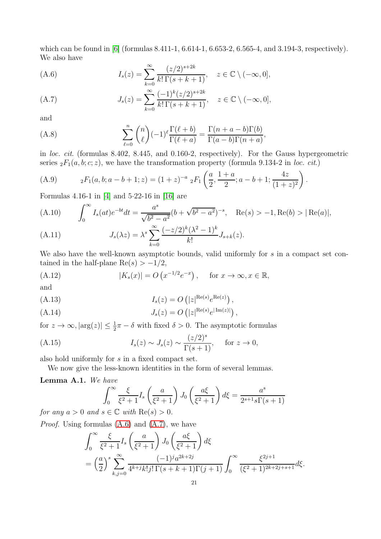which can be found in [\[6\]](#page-22-13) (formulas 8.411-1, 6.614-1, 6.653-2, 6.565-4, and 3.194-3, respectively). We also have

<span id="page-20-7"></span>(A.6) 
$$
I_s(z) = \sum_{k=0}^{\infty} \frac{(z/2)^{s+2k}}{k! \Gamma(s+k+1)}, \quad z \in \mathbb{C} \setminus (-\infty, 0],
$$

<span id="page-20-8"></span>(A.7) 
$$
J_s(z) = \sum_{k=0}^{\infty} \frac{(-1)^k (z/2)^{s+2k}}{k! \Gamma(s+k+1)}, \quad z \in \mathbb{C} \setminus (-\infty, 0],
$$

and

<span id="page-20-9"></span>(A.8) 
$$
\sum_{\ell=0}^{n} {n \choose \ell} (-1)^{\ell} \frac{\Gamma(\ell+b)}{\Gamma(\ell+a)} = \frac{\Gamma(n+a-b)\Gamma(b)}{\Gamma(a-b)\Gamma(n+a)},
$$

in loc. cit. (formulas 8.402, 8.445, and 0.160-2, respectively). For the Gauss hypergeometric series  ${}_2F_1(a, b; c; z)$ , we have the transformation property (formula 9.134-2 in loc. cit.)

<span id="page-20-10"></span>(A.9) 
$$
{}_2F_1(a,b;a-b+1;z) = (1+z)^{-a} {}_2F_1\left(\frac{a}{2},\frac{1+a}{2};a-b+1;\frac{4z}{(1+z)^2}\right).
$$

Formulas 4.16-1 in [\[4\]](#page-22-14) and 5·22-16 in [\[16\]](#page-22-15) are

<span id="page-20-4"></span>(A.10) 
$$
\int_0^\infty I_s(at)e^{-bt}dt = \frac{a^s}{\sqrt{b^2 - a^2}}(b + \sqrt{b^2 - a^2})^{-s}, \quad \text{Re}(s) > -1, \text{Re}(b) > |\text{Re}(a)|,
$$

<span id="page-20-6"></span>(A.11) 
$$
J_s(\lambda z) = \lambda^s \sum_{k=0}^{\infty} \frac{(-z/2)^k (\lambda^2 - 1)^k}{k!} J_{s+k}(z).
$$

We also have the well-known asymptotic bounds, valid uniformly for s in a compact set contained in the half-plane  $\text{Re}(s) > -1/2$ ,

<span id="page-20-3"></span>(A.12) 
$$
|K_s(x)| = O\left(x^{-1/2}e^{-x}\right), \quad \text{for } x \to \infty, x \in \mathbb{R},
$$

and

<span id="page-20-1"></span>
$$
(A.13) \tIs(z) = O(|z|^{\text{Re}(s)}e^{\text{Re}(z)}),
$$

<span id="page-20-2"></span>
$$
(A.14) \t\t J_s(z) = O\left(|z|^{\text{Re}(s)}e^{|\text{Im}(z)|}\right),
$$

for  $z \to \infty$ ,  $|\arg(z)| \leq \frac{1}{2}\pi - \delta$  with fixed  $\delta > 0$ . The asymptotic formulas

<span id="page-20-0"></span>(A.15) 
$$
I_s(z) \sim J_s(z) \sim \frac{(z/2)^s}{\Gamma(s+1)}, \quad \text{for } z \to 0,
$$

also hold uniformly for s in a fixed compact set.

We now give the less-known identities in the form of several lemmas.

## <span id="page-20-5"></span>Lemma A.1. We have

$$
\int_0^\infty \frac{\xi}{\xi^2 + 1} I_s\left(\frac{a}{\xi^2 + 1}\right) J_0\left(\frac{a\xi}{\xi^2 + 1}\right) d\xi = \frac{a^s}{2^{s+1}s\Gamma(s+1)}
$$

for any  $a > 0$  and  $s \in \mathbb{C}$  with  $\text{Re}(s) > 0$ .

Proof. Using formulas [\(A.6\)](#page-20-7) and [\(A.7\)](#page-20-8), we have

$$
\int_0^\infty \frac{\xi}{\xi^2 + 1} I_s \left( \frac{a}{\xi^2 + 1} \right) J_0 \left( \frac{a\xi}{\xi^2 + 1} \right) d\xi
$$
  
=  $\left( \frac{a}{2} \right)^s \sum_{k,j=0}^\infty \frac{(-1)^j a^{2k+2j}}{4^{k+j} k! j! \Gamma(s + k + 1) \Gamma(j + 1)} \int_0^\infty \frac{\xi^{2j+1}}{(\xi^2 + 1)^{2k+2j+s+1}} d\xi.$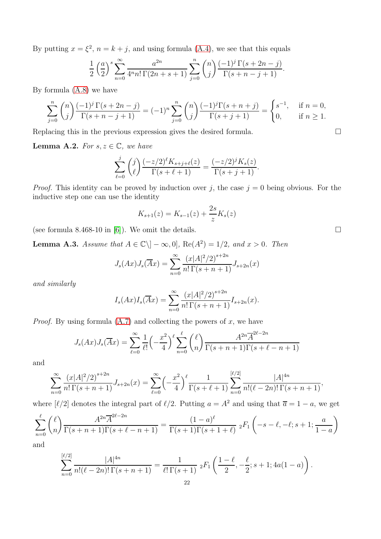By putting  $x = \xi^2$ ,  $n = k + j$ , and using formula [\(A.4\)](#page-19-4), we see that this equals

$$
\frac{1}{2} \left(\frac{a}{2}\right)^s \sum_{n=0}^{\infty} \frac{a^{2n}}{4^n n! \Gamma(2n+s+1)} \sum_{j=0}^n {n \choose j} \frac{(-1)^j \Gamma(s+2n-j)}{\Gamma(s+n-j+1)}.
$$

By formula [\(A.8\)](#page-20-9) we have

$$
\sum_{j=0}^{n} \binom{n}{j} \frac{(-1)^j \Gamma(s+2n-j)}{\Gamma(s+n-j+1)} = (-1)^n \sum_{j=0}^{n} \binom{n}{j} \frac{(-1)^j \Gamma(s+n+j)}{\Gamma(s+j+1)} = \begin{cases} s^{-1}, & \text{if } n=0, \\ 0, & \text{if } n \ge 1. \end{cases}
$$

Replacing this in the previous expression gives the desired formula.

<span id="page-21-0"></span>**Lemma A.2.** For  $s, z \in \mathbb{C}$ , we have

$$
\sum_{\ell=0}^j \binom{j}{\ell} \frac{(-z/2)^{\ell} K_{s+j+\ell}(z)}{\Gamma(s+\ell+1)} = \frac{(-z/2)^j K_s(z)}{\Gamma(s+j+1)}.
$$

*Proof.* This identity can be proved by induction over j, the case  $j = 0$  being obvious. For the inductive step one can use the identity

$$
K_{s+1}(z) = K_{s-1}(z) + \frac{2s}{z} K_s(z)
$$

(see formula 8.468-10 in [\[6\]](#page-22-13)). We omit the details.  $\square$ 

<span id="page-21-1"></span>**Lemma A.3.** Assume that  $A \in \mathbb{C} \setminus ]-\infty,0]$ , Re $(A^2) = 1/2$ , and  $x > 0$ . Then

$$
J_s(Ax)J_s(\overline{A}x) = \sum_{n=0}^{\infty} \frac{(x|A|^2/2)^{s+2n}}{n!\,\Gamma(s+n+1)} J_{s+2n}(x)
$$

and similarly

$$
I_s(Ax)I_s(\overline{A}x) = \sum_{n=0}^{\infty} \frac{(x|A|^2/2)^{s+2n}}{n!\,\Gamma(s+n+1)} I_{s+2n}(x).
$$

*Proof.* By using formula  $(A.7)$  and collecting the powers of x, we have

$$
J_s(Ax)J_s(\overline{A}x) = \sum_{\ell=0}^{\infty} \frac{1}{\ell!} \left(-\frac{x^2}{4}\right)^{\ell} \sum_{n=0}^{\ell} {\ell \choose n} \frac{A^{2n} \overline{A}^{2\ell-2n}}{\Gamma(s+n+1)\Gamma(s+\ell-n+1)}
$$

and

$$
\sum_{n=0}^{\infty} \frac{(x|A|^2/2)^{s+2n}}{n!\,\Gamma(s+n+1)} J_{s+2n}(x) = \sum_{\ell=0}^{\infty} \left(-\frac{x^2}{4}\right)^{\ell} \frac{1}{\Gamma(s+\ell+1)} \sum_{n=0}^{[\ell/2]} \frac{|A|^{4n}}{n!(\ell-2n)!\,\Gamma(s+n+1)},
$$

where  $\lbrack \ell/2 \rbrack$  denotes the integral part of  $\ell/2$ . Putting  $a = A^2$  and using that  $\bar{a} = 1 - a$ , we get

$$
\sum_{n=0}^{\ell} {\ell \choose n} \frac{A^{2n} \overline{A}^{2\ell - 2n}}{\Gamma(s + n + 1)\Gamma(s + \ell - n + 1)} = \frac{(1 - a)^{\ell}}{\Gamma(s + 1)\Gamma(s + 1 + \ell)} \; {}_2F_1\left(-s - \ell, -\ell; s + 1; \frac{a}{1 - a}\right)
$$

and

$$
\sum_{n=0}^{[\ell/2]} \frac{|A|^{4n}}{n!(\ell-2n)!\,\Gamma(s+n+1)} = \frac{1}{\ell!\,\Gamma(s+1)} \; {}_2F_1\left(\frac{1-\ell}{2}, -\frac{\ell}{2}; s+1; 4a(1-a)\right).
$$